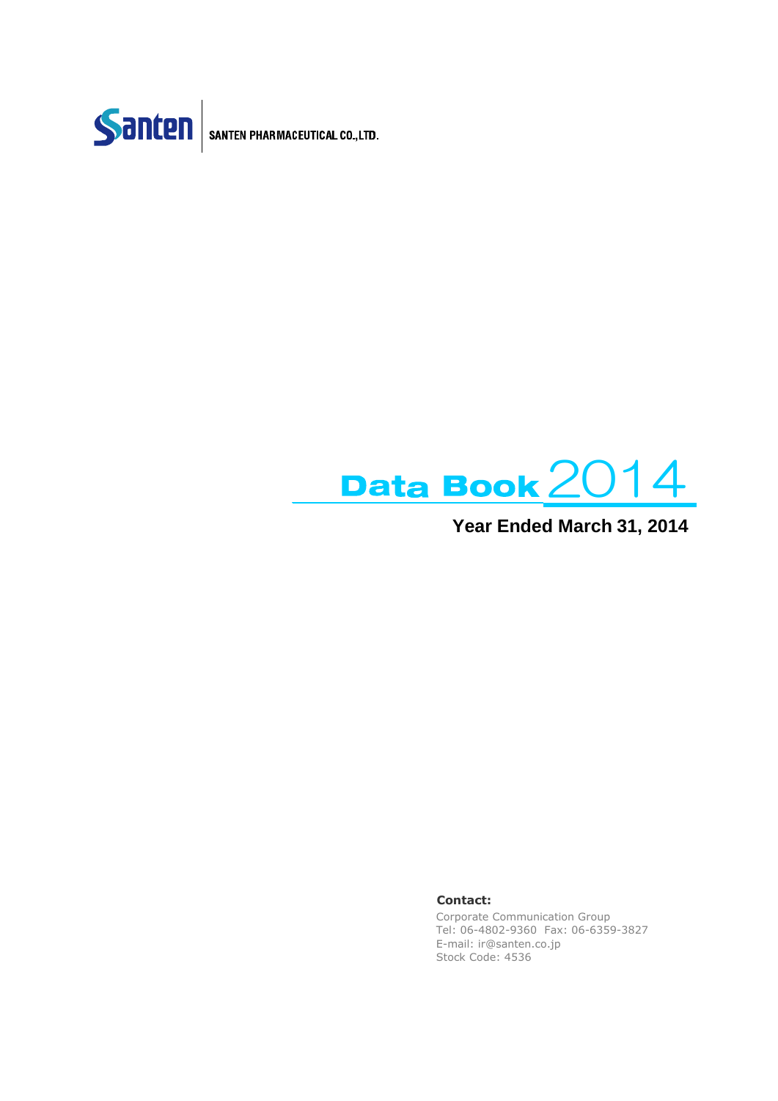

SANTEN PHARMACEUTICAL CO., LTD.



### **Year Ended March 31, 2014**

### **Contact:**

Corporate Communication Group Tel: 06-4802-9360 Fax: 06-6359-3827 E-mail: ir@santen.co.jp Stock Code: 4536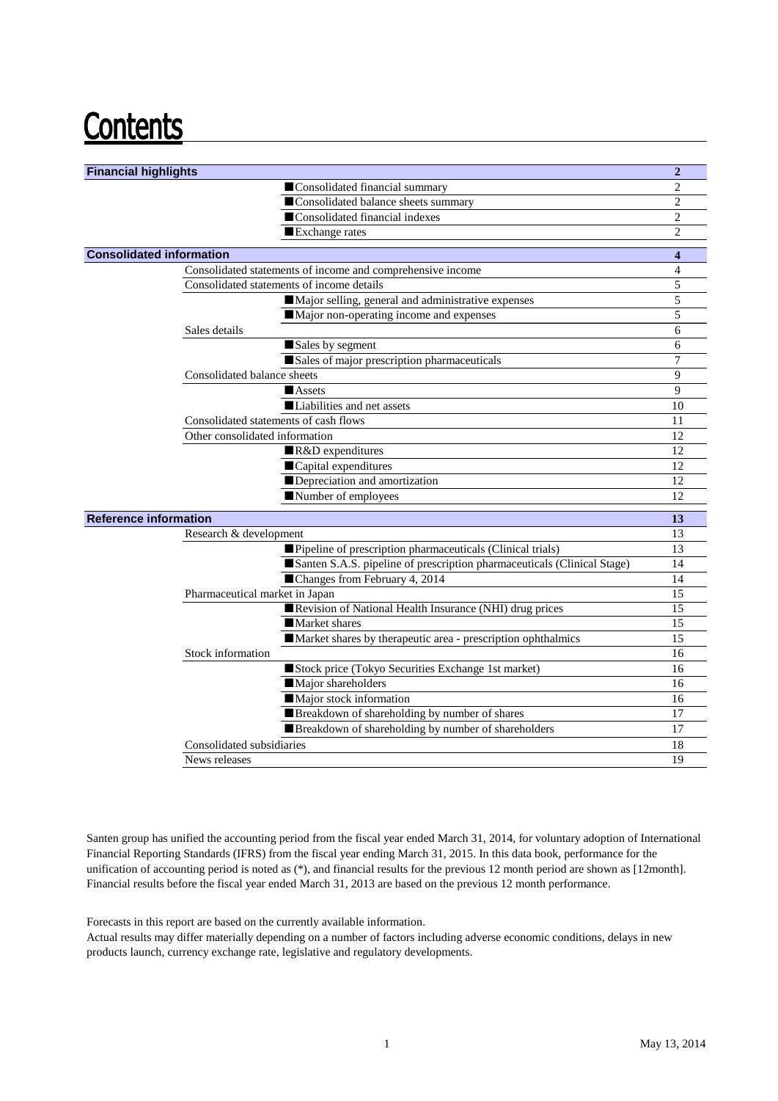## **Contents**

| <b>Financial highlights</b>     |                                                                         | $\overline{2}$          |
|---------------------------------|-------------------------------------------------------------------------|-------------------------|
|                                 | Consolidated financial summary                                          | $\overline{2}$          |
|                                 | Consolidated balance sheets summary                                     | $\overline{2}$          |
|                                 | Consolidated financial indexes                                          | $\overline{2}$          |
|                                 | Exchange rates                                                          | $\overline{2}$          |
| <b>Consolidated information</b> |                                                                         | $\overline{\mathbf{4}}$ |
|                                 | Consolidated statements of income and comprehensive income              | $\overline{4}$          |
|                                 | Consolidated statements of income details                               | 5                       |
|                                 | Major selling, general and administrative expenses                      | 5                       |
|                                 | Major non-operating income and expenses                                 | 5                       |
|                                 | Sales details                                                           | 6                       |
|                                 | Sales by segment                                                        | 6                       |
|                                 | Sales of major prescription pharmaceuticals                             | 7                       |
|                                 | Consolidated balance sheets                                             | 9                       |
|                                 | <b>Assets</b>                                                           | 9                       |
|                                 | ■ Liabilities and net assets                                            | 10                      |
|                                 | Consolidated statements of cash flows                                   | 11                      |
|                                 | Other consolidated information                                          | 12                      |
|                                 | R&D expenditures                                                        | 12                      |
|                                 | Capital expenditures                                                    | 12                      |
|                                 | Depreciation and amortization                                           | 12                      |
|                                 | Number of employees                                                     | 12                      |
| <b>Reference information</b>    |                                                                         | 13                      |
|                                 | Research & development                                                  | 13                      |
|                                 | Pipeline of prescription pharmaceuticals (Clinical trials)              | 13                      |
|                                 | Santen S.A.S. pipeline of prescription pharmaceuticals (Clinical Stage) | 14                      |
|                                 | Changes from February 4, 2014                                           | 14                      |
|                                 | Pharmaceutical market in Japan                                          | 15                      |
|                                 | Revision of National Health Insurance (NHI) drug prices                 | 15                      |
|                                 | Market shares                                                           | 15                      |
|                                 | Market shares by therapeutic area - prescription ophthalmics            | 15                      |
|                                 | Stock information                                                       | 16                      |
|                                 | Stock price (Tokyo Securities Exchange 1st market)                      | 16                      |
|                                 | Major shareholders                                                      | 16                      |
|                                 | Major stock information                                                 | 16                      |
|                                 | Breakdown of shareholding by number of shares                           | 17                      |
|                                 | Breakdown of shareholding by number of shareholders                     | 17                      |
|                                 | Consolidated subsidiaries                                               | 18                      |
|                                 | News releases                                                           | 19                      |
|                                 |                                                                         |                         |

Santen group has unified the accounting period from the fiscal year ended March 31, 2014, for voluntary adoption of International Financial Reporting Standards (IFRS) from the fiscal year ending March 31, 2015. In this data book, performance for the unification of accounting period is noted as (\*), and financial results for the previous 12 month period are shown as [12month]. Financial results before the fiscal year ended March 31, 2013 are based on the previous 12 month performance.

Forecasts in this report are based on the currently available information.

Actual results may differ materially depending on a number of factors including adverse economic conditions, delays in new products launch, currency exchange rate, legislative and regulatory developments.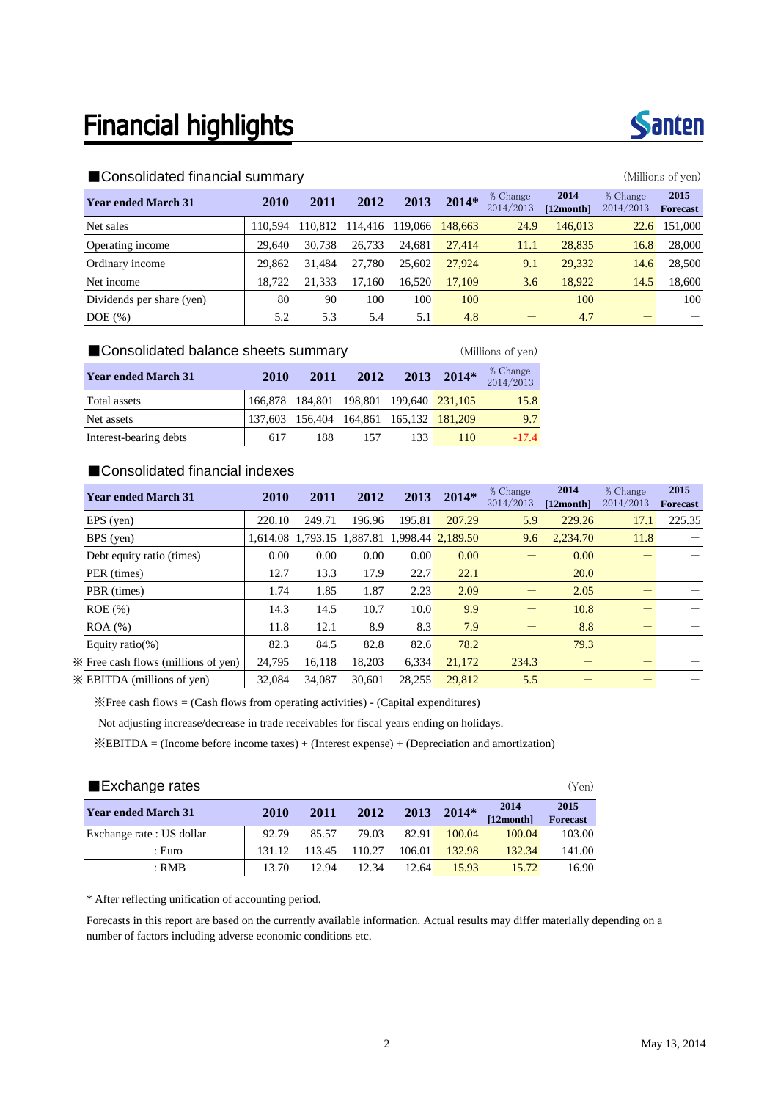### **Financial highlights**



| <b>Year ended March 31</b> | 2010   | 2011    | 2012    | 2013    | $2014*$ | % Change<br>2014/2013 | 2014<br>$[12$ month $]$ | % Change<br>2014/2013 | 2015<br><b>Forecast</b> |
|----------------------------|--------|---------|---------|---------|---------|-----------------------|-------------------------|-----------------------|-------------------------|
| Net sales                  | 10.594 | 110.812 | 114,416 | 119,066 | 148,663 | 24.9                  | 146,013                 | 22.6                  | 151,000                 |
| Operating income           | 29,640 | 30.738  | 26.733  | 24.681  | 27,414  | 11.1                  | 28,835                  | 16.8                  | 28,000                  |
| Ordinary income            | 29,862 | 31.484  | 27.780  | 25,602  | 27,924  | 9.1                   | 29,332                  | 14.6                  | 28,500                  |
| Net income                 | 18.722 | 21.333  | 17.160  | 16.520  | 17,109  | 3.6                   | 18,922                  | 14.5                  | 18,600                  |
| Dividends per share (yen)  | 80     | 90      | 100     | 100     | 100     |                       | 100                     |                       | 100                     |
| $DOE$ $(\%)$               | 5.2    | 5.3     | 5.4     | 5.1     | 4.8     |                       | 4.7                     |                       |                         |

| ■ Consolidated balance sheets summary<br>(Millions of yen) |             |      |                                 |      |         |                       |  |  |  |  |
|------------------------------------------------------------|-------------|------|---------------------------------|------|---------|-----------------------|--|--|--|--|
| <b>Year ended March 31</b>                                 | <b>2010</b> | 2011 | 2012                            | 2013 | $2014*$ | % Change<br>2014/2013 |  |  |  |  |
| Total assets                                               | 166.878     |      | 184,801 198,801 199,640 231,105 |      |         | 15.8                  |  |  |  |  |
| Net assets                                                 | 137.603     |      | 156,404 164,861 165,132 181,209 |      |         | 9.7                   |  |  |  |  |
| Interest-bearing debts                                     | 617         | 188  | 157                             | 133  | 110     | $-17.4$               |  |  |  |  |

### ■Consolidated financial indexes

| <b>Year ended March 31</b>           | 2010   | 2011   | 2012                                         | 2013   | $2014*$ | % Change  | 2014      | % Change  | 2015            |
|--------------------------------------|--------|--------|----------------------------------------------|--------|---------|-----------|-----------|-----------|-----------------|
|                                      |        |        |                                              |        |         | 2014/2013 | [12month] | 2014/2013 | <b>Forecast</b> |
| $EPS$ (yen)                          | 220.10 | 249.71 | 196.96                                       | 195.81 | 207.29  | 5.9       | 229.26    | 17.1      | 225.35          |
| BPS (yen)                            |        |        | 1,614.08 1,793.15 1,887.81 1,998.44 2,189.50 |        |         | 9.6       | 2.234.70  | 11.8      |                 |
| Debt equity ratio (times)            | 0.00   | 0.00   | 0.00                                         | 0.00   | 0.00    |           | 0.00      |           |                 |
| PER (times)                          | 12.7   | 13.3   | 17.9                                         | 22.7   | 22.1    |           | 20.0      |           |                 |
| PBR (times)                          | 1.74   | 1.85   | 1.87                                         | 2.23   | 2.09    |           | 2.05      |           |                 |
| $ROE$ $(\% )$                        | 14.3   | 14.5   | 10.7                                         | 10.0   | 9.9     |           | 10.8      |           |                 |
| $ROA (\%)$                           | 11.8   | 12.1   | 8.9                                          | 8.3    | 7.9     |           | 8.8       |           |                 |
| Equity ratio(%)                      | 82.3   | 84.5   | 82.8                                         | 82.6   | 78.2    |           | 79.3      |           |                 |
| X Free cash flows (millions of yen)  | 24.795 | 16.118 | 18.203                                       | 6.334  | 21.172  | 234.3     |           |           |                 |
| $\mathbb X$ EBITDA (millions of yen) | 32,084 | 34.087 | 30.601                                       | 28,255 | 29,812  | 5.5       |           |           |                 |

※Free cash flows = (Cash flows from operating activities) - (Capital expenditures)

Not adjusting increase/decrease in trade receivables for fiscal years ending on holidays.

※EBITDA = (Income before income taxes) + (Interest expense) + (Depreciation and amortization)

| Exchange rates             |        |        |        |        |         |                   |                         |  |
|----------------------------|--------|--------|--------|--------|---------|-------------------|-------------------------|--|
| <b>Year ended March 31</b> | 2010   | 2011   | 2012   | 2013   | $2014*$ | 2014<br>[12month] | 2015<br><b>Forecast</b> |  |
| Exchange rate : US dollar  | 92.79  | 85.57  | 79.03  | 82.91  | 100.04  | 100.04            | 103.00                  |  |
| : Euro                     | 131.12 | 113.45 | 110.27 | 106.01 | 132.98  | 132.34            | 141.00                  |  |
| $:$ RMB                    | 13.70  | 12.94  | 12.34  | 12.64  | 15.93   | 15.72             | 16.90                   |  |

\* After reflecting unification of accounting period.

Forecasts in this report are based on the currently available information. Actual results may differ materially depending on a number of factors including adverse economic conditions etc.

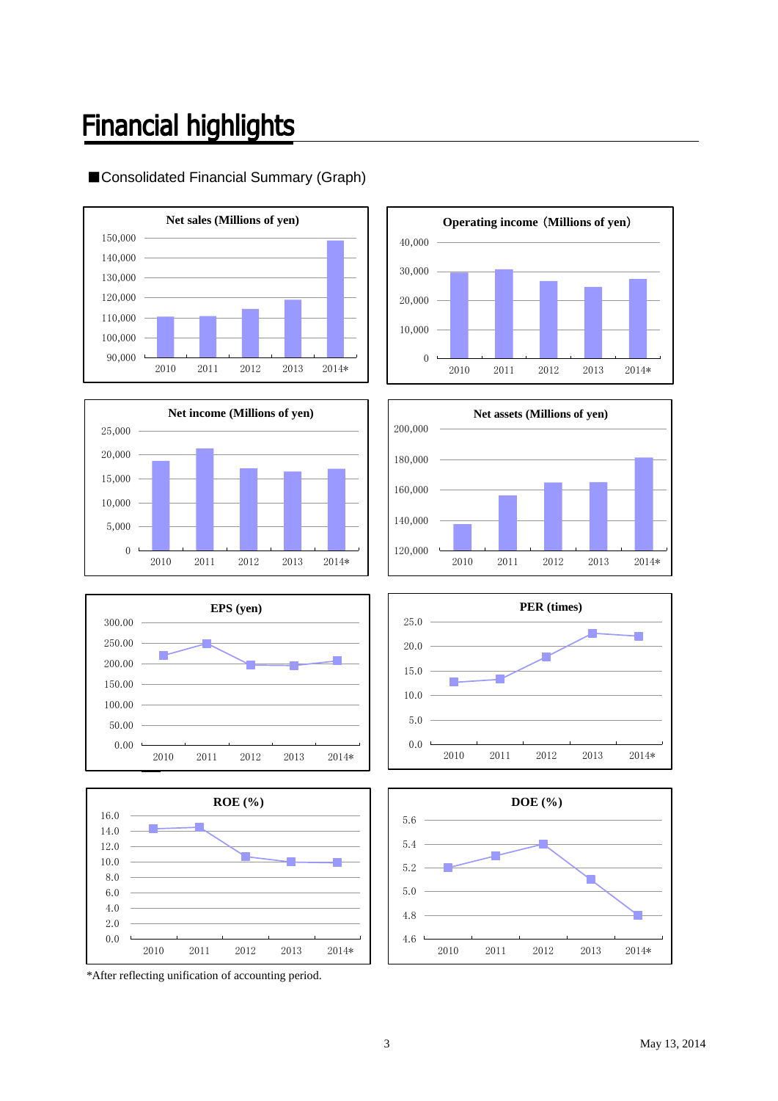### **Financial highlights**

### ■Consolidated Financial Summary (Graph)















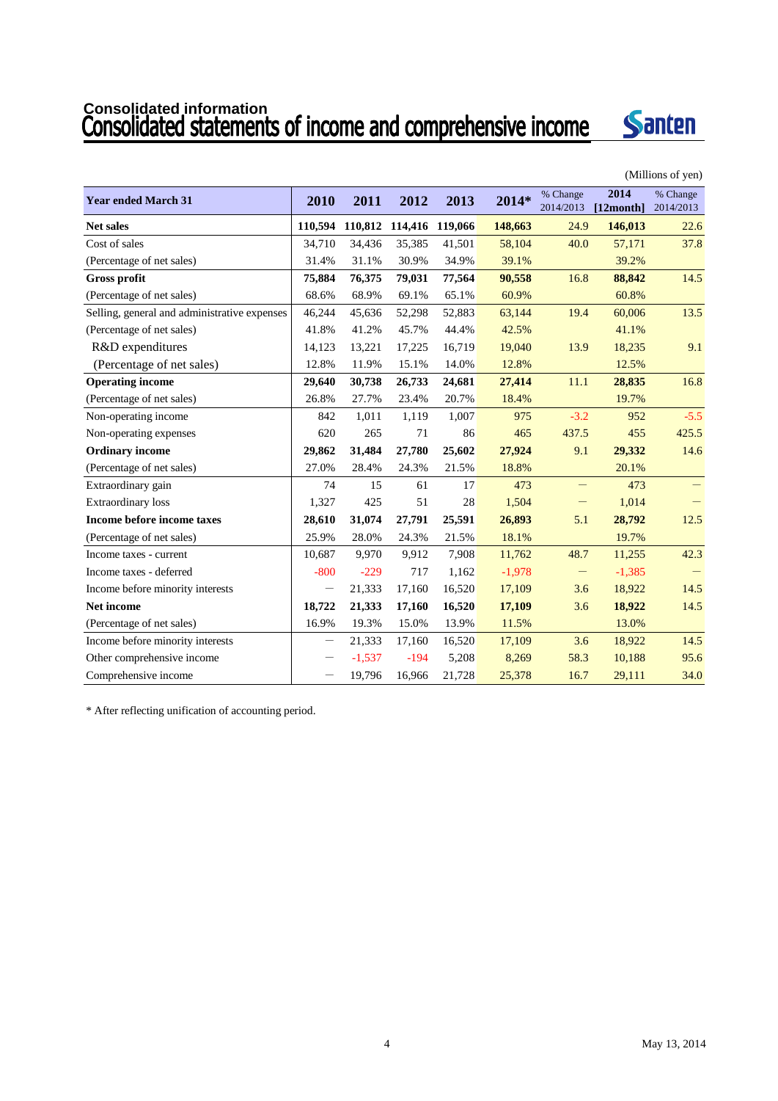# Consolidated information<br>Consolidated statements of income and comprehensive income



|                                              |                   |          |         |         |          |                       |                   | (Millions of yen)     |
|----------------------------------------------|-------------------|----------|---------|---------|----------|-----------------------|-------------------|-----------------------|
| <b>Year ended March 31</b>                   | 2010              | 2011     | 2012    | 2013    | 2014*    | % Change<br>2014/2013 | 2014<br>[12month] | % Change<br>2014/2013 |
| <b>Net sales</b>                             | 110,594           | 110,812  | 114,416 | 119,066 | 148,663  | 24.9                  | 146,013           | 22.6                  |
| Cost of sales                                | 34,710            | 34,436   | 35,385  | 41,501  | 58,104   | 40.0                  | 57,171            | 37.8                  |
| (Percentage of net sales)                    | 31.4%             | 31.1%    | 30.9%   | 34.9%   | 39.1%    |                       | 39.2%             |                       |
| Gross profit                                 | 75,884            | 76,375   | 79,031  | 77,564  | 90.558   | 16.8                  | 88,842            | 14.5                  |
| (Percentage of net sales)                    | 68.6%             | 68.9%    | 69.1%   | 65.1%   | 60.9%    |                       | 60.8%             |                       |
| Selling, general and administrative expenses | 46,244            | 45,636   | 52,298  | 52,883  | 63,144   | 19.4                  | 60,006            | 13.5                  |
| (Percentage of net sales)                    | 41.8%             | 41.2%    | 45.7%   | 44.4%   | 42.5%    |                       | 41.1%             |                       |
| R&D expenditures                             | 14,123            | 13,221   | 17,225  | 16,719  | 19,040   | 13.9                  | 18,235            | 9.1                   |
| (Percentage of net sales)                    | 12.8%             | 11.9%    | 15.1%   | 14.0%   | 12.8%    |                       | 12.5%             |                       |
| <b>Operating income</b>                      | 29,640            | 30,738   | 26,733  | 24,681  | 27,414   | 11.1                  | 28,835            | 16.8                  |
| (Percentage of net sales)                    | 26.8%             | 27.7%    | 23.4%   | 20.7%   | 18.4%    |                       | 19.7%             |                       |
| Non-operating income                         | 842               | 1,011    | 1,119   | 1,007   | 975      | $-3.2$                | 952               | $-5.5$                |
| Non-operating expenses                       | 620               | 265      | 71      | 86      | 465      | 437.5                 | 455               | 425.5                 |
| <b>Ordinary income</b>                       | 29,862            | 31,484   | 27,780  | 25,602  | 27,924   | 9.1                   | 29,332            | 14.6                  |
| (Percentage of net sales)                    | 27.0%             | 28.4%    | 24.3%   | 21.5%   | 18.8%    |                       | 20.1%             |                       |
| Extraordinary gain                           | 74                | 15       | 61      | 17      | 473      | -                     | 473               |                       |
| <b>Extraordinary</b> loss                    | 1,327             | 425      | 51      | 28      | 1,504    | —                     | 1,014             |                       |
| Income before income taxes                   | 28,610            | 31,074   | 27,791  | 25,591  | 26,893   | 5.1                   | 28,792            | 12.5                  |
| (Percentage of net sales)                    | 25.9%             | 28.0%    | 24.3%   | 21.5%   | 18.1%    |                       | 19.7%             |                       |
| Income taxes - current                       | 10,687            | 9,970    | 9,912   | 7,908   | 11,762   | 48.7                  | 11,255            | 42.3                  |
| Income taxes - deferred                      | $-800$            | $-229$   | 717     | 1,162   | $-1,978$ | -                     | $-1,385$          |                       |
| Income before minority interests             | $\qquad \qquad -$ | 21,333   | 17,160  | 16,520  | 17,109   | 3.6                   | 18,922            | 14.5                  |
| <b>Net income</b>                            | 18,722            | 21,333   | 17,160  | 16,520  | 17,109   | 3.6                   | 18,922            | 14.5                  |
| (Percentage of net sales)                    | 16.9%             | 19.3%    | 15.0%   | 13.9%   | 11.5%    |                       | 13.0%             |                       |
| Income before minority interests             |                   | 21,333   | 17,160  | 16,520  | 17,109   | 3.6                   | 18,922            | 14.5                  |
| Other comprehensive income                   |                   | $-1,537$ | $-194$  | 5,208   | 8,269    | 58.3                  | 10,188            | 95.6                  |
| Comprehensive income                         |                   | 19,796   | 16,966  | 21,728  | 25,378   | 16.7                  | 29,111            | 34.0                  |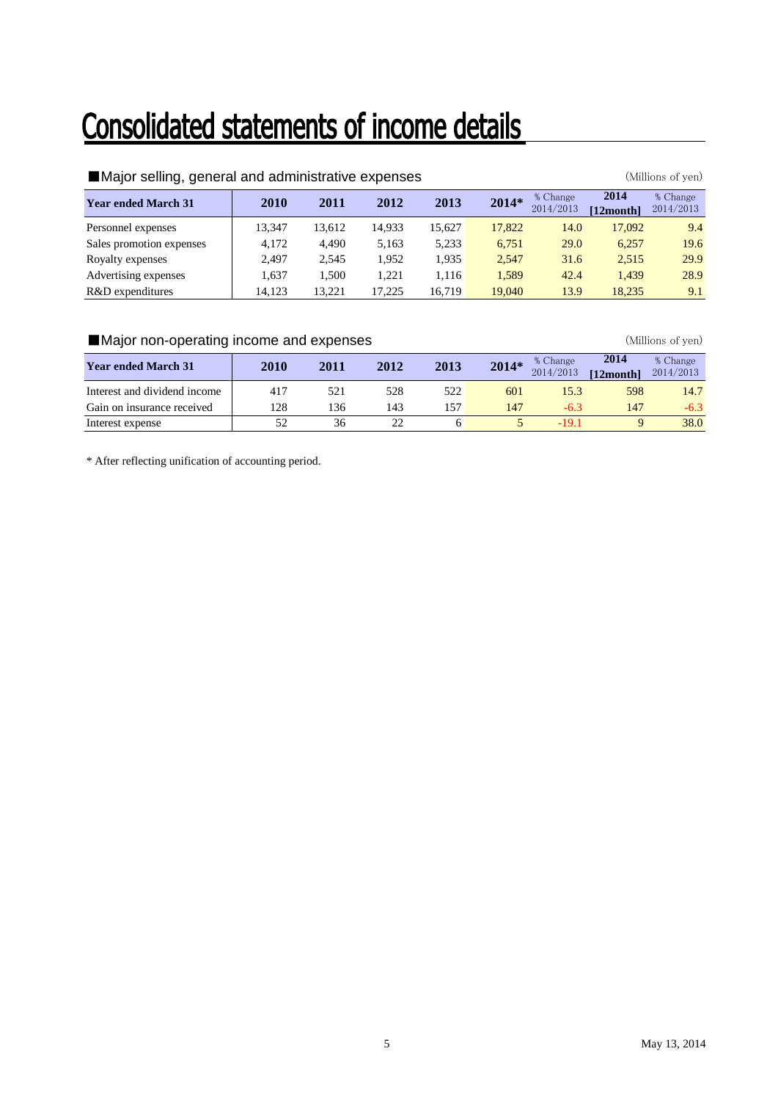## Consolidated statements of income details

| Major selling, general and administrative expenses |        |        | (Millions of yen) |        |        |                       |                   |                       |
|----------------------------------------------------|--------|--------|-------------------|--------|--------|-----------------------|-------------------|-----------------------|
| <b>Year ended March 31</b>                         | 2010   | 2011   | 2012              | 2013   | 2014*  | % Change<br>2014/2013 | 2014<br>[12month] | % Change<br>2014/2013 |
| Personnel expenses                                 | 13.347 | 13.612 | 14.933            | 15.627 | 17,822 | 14.0                  | 17.092            | 9.4                   |
| Sales promotion expenses                           | 4.172  | 4.490  | 5.163             | 5,233  | 6.751  | <b>29.0</b>           | 6.257             | 19.6                  |
| Royalty expenses                                   | 2.497  | 2.545  | 1.952             | 1.935  | 2.547  | 31.6                  | 2.515             | 29.9                  |
| Advertising expenses                               | 1.637  | 1.500  | 1.221             | 1.116  | 1,589  | 42.4                  | 1.439             | 28.9                  |
| R&D expenditures                                   | 14.123 | 13.221 | 17.225            | 16.719 | 19.040 | 13.9                  | 18.235            | 9.1                   |

### ■Major non-operating income and expenses (Millions of yen)

| <b>Year ended March 31</b>   | 2010 | 2011 | 2012 | 2013     | 2014* | % Change<br>2014/2013 | 2014<br>[12month] | % Change<br>2014/2013 |
|------------------------------|------|------|------|----------|-------|-----------------------|-------------------|-----------------------|
| Interest and dividend income | 417  | 521  | 528  | 522      | 601   |                       | 598               | 14.7                  |
| Gain on insurance received   | 128  | 136  | 143  | $15^{7}$ | 147   | -6.3                  | 147               | $-6.3$                |
| Interest expense             |      | 36   |      |          |       | -19-1                 |                   | 38.0                  |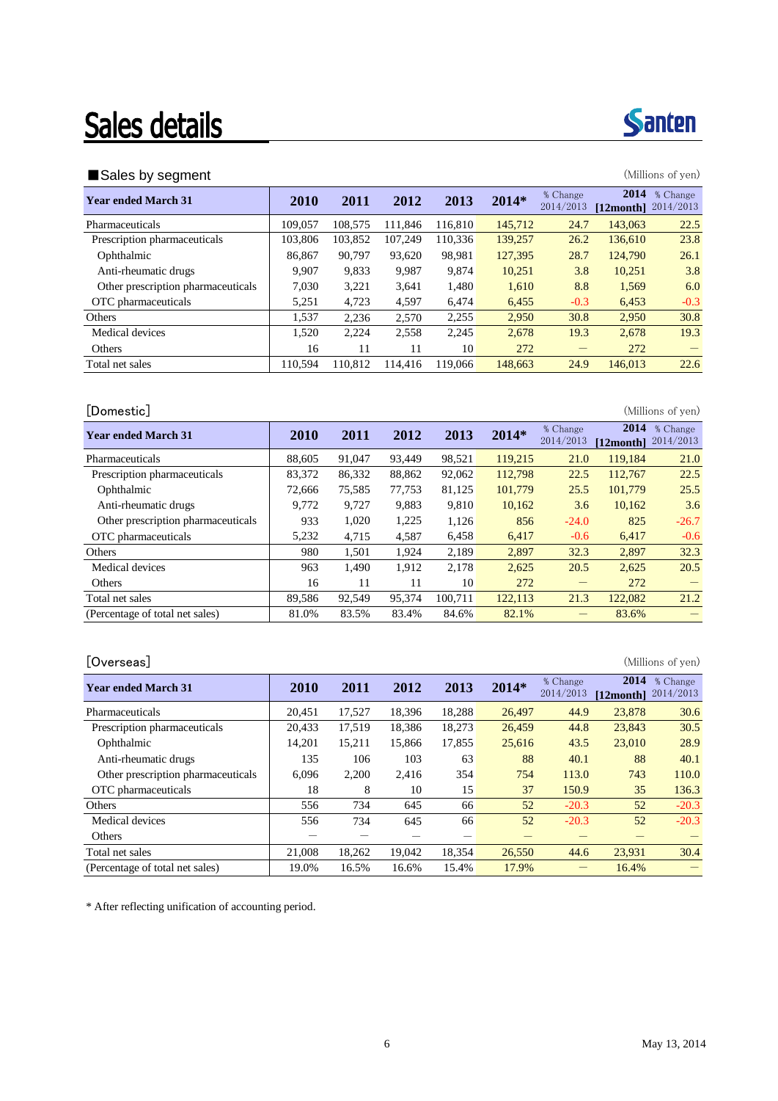## **Sales details**

### ■Sales by segment (Millions of yen)

| 2010    | 2011    | 2012    | 2013    | $2014*$ | % Change<br>2014/2013 | 2014    | % Change<br>2014/2013 |
|---------|---------|---------|---------|---------|-----------------------|---------|-----------------------|
| 109,057 | 108.575 | 111.846 | 116.810 | 145,712 | 24.7                  | 143,063 | 22.5                  |
| 103.806 | 103,852 | 107.249 | 110.336 | 139,257 | 26.2                  | 136,610 | 23.8                  |
| 86.867  | 90.797  | 93.620  | 98.981  | 127,395 | 28.7                  | 124,790 | 26.1                  |
| 9.907   | 9,833   | 9,987   | 9.874   | 10.251  | 3.8                   | 10.251  | 3.8                   |
| 7.030   | 3,221   | 3,641   | 1,480   | 1,610   | 8.8                   | 1,569   | 6.0                   |
| 5,251   | 4,723   | 4,597   | 6,474   | 6,455   | $-0.3$                | 6,453   | $-0.3$                |
| 1,537   | 2.236   | 2.570   | 2,255   | 2.950   | 30.8                  | 2,950   | 30.8                  |
| 1,520   | 2,224   | 2,558   | 2,245   | 2,678   | 19.3                  | 2,678   | 19.3                  |
| 16      | 11      | 11      | 10      | 272     | –                     | 272     |                       |
| 110.594 | 110.812 | 114,416 | 119,066 | 148,663 | 24.9                  | 146,013 | 22.6                  |
|         |         |         |         |         |                       |         | $[12$ month $]$       |

[Domestic] (Millions of yen) **Year ended March 31 2010 2011 2012 2013 2014**\* **6** Change 2014/2013 **2014** % Change **[12month]** 2014/2013 Pharmaceuticals 188,605 91,047 93,449 98,521 119,215 21.0 119,184 21.0 Prescription pharmaceuticals 83,372 86,332 88,862 92,062 112,798 22.5 112,767 22.5 Ophthalmic 25.5 72,666 75,585 77,753 81,125 101,779 25.5 101,779 25.5 Anti-rheumatic drugs 19,772 9,727 9,883 9,810 10,162 3.6 10,162 3.6 Other prescription pharmaceuticals 933 1,020 1,225 1,126 856 -24.0 825 -26.7 OTC pharmaceuticals 15,232 4,715 4,587 6,458 6,417 -0.6 6,417 -0.6 Others 2.501 1,501 1,924 2,189 2,897 32.3 2,897 32.3 Medical devices 1,490 1,490 1,912 2,178 2,625 20.5 2,625 20.5 Others 16 11 11 10 272 - 272 -Total net sales **89,586** 92,549 95,374 100,711 122,113 21.3 122,082 21.2 (Percentage of total net sales) 81.0% 83.5% 83.4% 84.6% 82.1% - 83.6% -

### [Overseas] (Millions of yen)

| <b>Year ended March 31</b>         | 2010   | 2011   | 2012   | 2013   | $2014*$ | % Change<br>2014/2013 | 2014<br>[12month] | % Change<br>2014/2013 |
|------------------------------------|--------|--------|--------|--------|---------|-----------------------|-------------------|-----------------------|
| Pharmaceuticals                    | 20.451 | 17.527 | 18.396 | 18.288 | 26,497  | 44.9                  | 23,878            | 30.6                  |
| Prescription pharmaceuticals       | 20.433 | 17.519 | 18.386 | 18.273 | 26.459  | 44.8                  | 23.843            | 30.5                  |
| Ophthalmic                         | 14.201 | 15,211 | 15,866 | 17,855 | 25,616  | 43.5                  | 23,010            | 28.9                  |
| Anti-rheumatic drugs               | 135    | 106    | 103    | 63     | 88      | 40.1                  | 88                | 40.1                  |
| Other prescription pharmaceuticals | 6.096  | 2,200  | 2,416  | 354    | 754     | 113.0                 | 743               | 110.0                 |
| OTC pharmaceuticals                | 18     | 8      | 10     | 15     | 37      | 150.9                 | 35                | 136.3                 |
| Others                             | 556    | 734    | 645    | 66     | 52      | $-20.3$               | 52                | $-20.3$               |
| Medical devices                    | 556    | 734    | 645    | 66     | 52      | $-20.3$               | 52                | $-20.3$               |
| Others                             |        |        |        |        |         |                       |                   |                       |
| Total net sales                    | 21,008 | 18,262 | 19.042 | 18,354 | 26,550  | 44.6                  | 23,931            | 30.4                  |
| (Percentage of total net sales)    | 19.0%  | 16.5%  | 16.6%  | 15.4%  | 17.9%   |                       | 16.4%             |                       |

\* After reflecting unification of accounting period.

**Santen** 

|  | × | ۰, |
|--|---|----|
|  |   |    |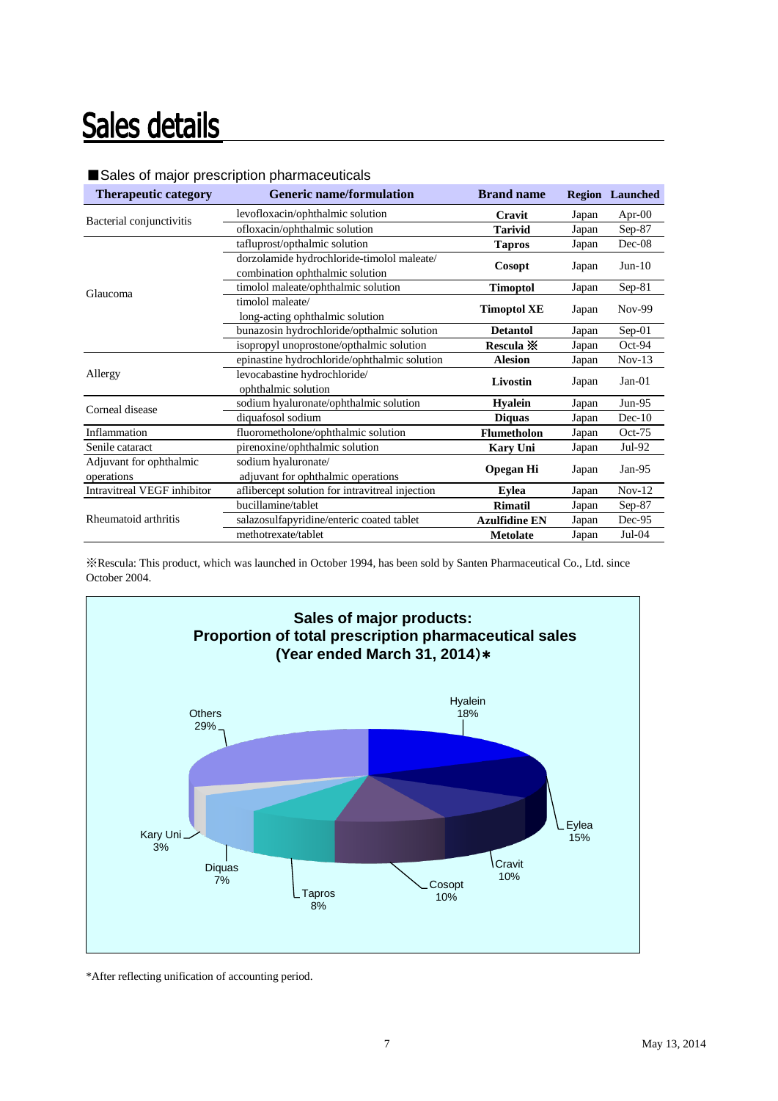## Sales details

| <b>Therapeutic category</b> | <b>Generic name/formulation</b>                 | <b>Brand name</b>    |       | <b>Region</b> Launched |
|-----------------------------|-------------------------------------------------|----------------------|-------|------------------------|
| Bacterial conjunctivitis    | levofloxacin/ophthalmic solution                | Cravit               | Japan | Apr- $00$              |
|                             | ofloxacin/ophthalmic solution                   | <b>Tarivid</b>       | Japan | $Sep-87$               |
|                             | tafluprost/opthalmic solution                   | <b>Tapros</b>        | Japan | $Dec-08$               |
|                             | dorzolamide hydrochloride-timolol maleate/      | Cosopt               | Japan | $Jun-10$               |
|                             | combination ophthalmic solution                 |                      |       |                        |
| Glaucoma                    | timolol maleate/ophthalmic solution             | <b>Timoptol</b>      | Japan | $Sep-81$               |
|                             | timolol maleate/                                | <b>Timoptol XE</b>   | Japan | $Nov-99$               |
|                             | long-acting ophthalmic solution                 |                      |       |                        |
|                             | bunazosin hydrochloride/opthalmic solution      | <b>Detantol</b>      | Japan | Sep-01                 |
|                             | isopropyl unoprostone/opthalmic solution        | Rescula ※            | Japan | $Oct-94$               |
|                             | epinastine hydrochloride/ophthalmic solution    | <b>Alesion</b>       | Japan | $Nov-13$               |
| Allergy                     | levocabastine hydrochloride/                    | Livostin             |       | $Jan-01$               |
|                             | ophthalmic solution                             |                      | Japan |                        |
| Corneal disease             | sodium hyaluronate/ophthalmic solution          | <b>Hyalein</b>       | Japan | $Jun-95$               |
|                             | diquafosol sodium                               | <b>Diquas</b>        | Japan | $Dec-10$               |
| Inflammation                | fluorometholone/ophthalmic solution             | <b>Flumetholon</b>   | Japan | $Oct-75$               |
| Senile cataract             | pirenoxine/ophthalmic solution                  | <b>Kary Uni</b>      | Japan | Jul-92                 |
| Adjuvant for ophthalmic     | sodium hyaluronate/                             |                      |       | $Jan-95$               |
| operations                  | adjuvant for ophthalmic operations              | Opegan Hi            | Japan |                        |
| Intravitreal VEGF inhibitor | aflibercept solution for intravitreal injection | <b>Eylea</b>         | Japan | $Nov-12$               |
|                             | bucillamine/tablet                              | <b>Rimatil</b>       | Japan | $Sep-87$               |
| Rheumatoid arthritis        | salazosulfapyridine/enteric coated tablet       | <b>Azulfidine EN</b> | Japan | $Dec-95$               |
|                             | methotrexate/tablet                             | <b>Metolate</b>      | Japan | $Jul-04$               |

### ■Sales of major prescription pharmaceuticals

※Rescula: This product, which was launched in October 1994, has been sold by Santen Pharmaceutical Co., Ltd. since October 2004.

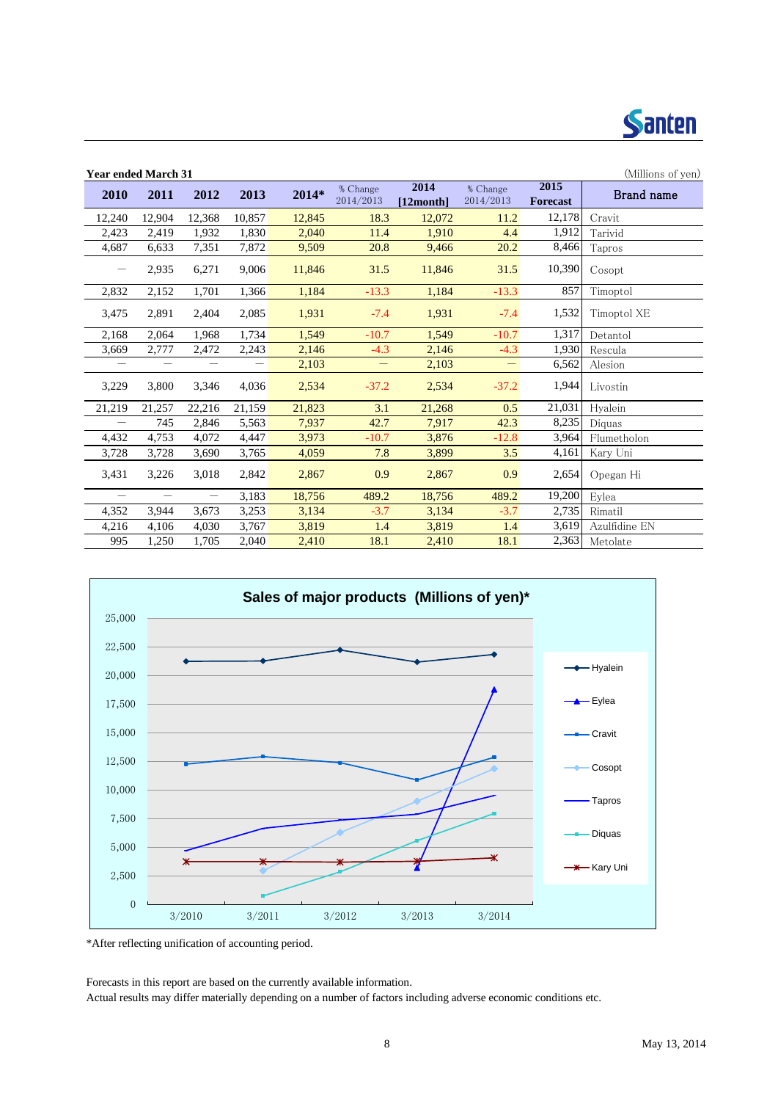

| <b>Year ended March 31</b> |                   |                                |                   |        |                       |                   |                       |                         | (Millions of yen) |
|----------------------------|-------------------|--------------------------------|-------------------|--------|-----------------------|-------------------|-----------------------|-------------------------|-------------------|
| 2010                       | 2011              | 2012                           | 2013              | 2014*  | % Change<br>2014/2013 | 2014<br>[12month] | % Change<br>2014/2013 | 2015<br><b>Forecast</b> | Brand name        |
| 12,240                     | 12,904            | 12,368                         | 10,857            | 12,845 | 18.3                  | 12,072            | 11.2                  | 12,178                  | Cravit            |
| 2,423                      | 2,419             | 1,932                          | 1,830             | 2,040  | 11.4                  | 1,910             | 4.4                   | 1,912                   | Tarivid           |
| 4,687                      | 6.633             | 7,351                          | 7,872             | 9,509  | 20.8                  | 9,466             | 20.2                  | 8,466                   | Tapros            |
|                            | 2,935             | 6,271                          | 9,006             | 11,846 | 31.5                  | 11,846            | 31.5                  | 10,390                  | Cosopt            |
| 2,832                      | 2,152             | 1,701                          | 1,366             | 1,184  | $-13.3$               | 1,184             | $-13.3$               | 857                     | Timoptol          |
| 3,475                      | 2,891             | 2,404                          | 2,085             | 1,931  | $-7.4$                | 1,931             | $-7.4$                | 1,532                   | Timoptol XE       |
| 2,168                      | 2,064             | 1,968                          | 1,734             | 1,549  | $-10.7$               | 1,549             | $-10.7$               | 1,317                   | Detantol          |
| 3,669                      | 2,777             | 2,472                          | 2,243             | 2,146  | $-4.3$                | 2,146             | $-4.3$                | 1,930                   | Rescula           |
| $\qquad \qquad -$          | $\qquad \qquad -$ | $\qquad \qquad \longleftarrow$ | $\qquad \qquad -$ | 2,103  | $\qquad \qquad -$     | 2,103             | $\qquad \qquad -$     | 6,562                   | Alesion           |
| 3,229                      | 3,800             | 3,346                          | 4,036             | 2,534  | $-37.2$               | 2,534             | $-37.2$               | 1,944                   | Livostin          |
| 21,219                     | 21,257            | 22,216                         | 21,159            | 21,823 | 3.1                   | 21,268            | 0.5                   | 21,031                  | Hyalein           |
| $\qquad \qquad -$          | 745               | 2,846                          | 5,563             | 7,937  | 42.7                  | 7,917             | 42.3                  | 8,235                   | Diquas            |
| 4,432                      | 4,753             | 4,072                          | 4,447             | 3.973  | $-10.7$               | 3,876             | $-12.8$               | 3,964                   | Flumetholon       |
| 3,728                      | 3,728             | 3,690                          | 3,765             | 4,059  | 7.8                   | 3,899             | 3.5                   | 4,161                   | Karv Uni          |
| 3,431                      | 3,226             | 3,018                          | 2,842             | 2,867  | 0.9                   | 2,867             | 0.9                   | 2,654                   | Opegan Hi         |
| $\overline{\phantom{m}}$   | $\qquad \qquad -$ | $\overline{\phantom{m}}$       | 3,183             | 18,756 | 489.2                 | 18,756            | 489.2                 | 19,200                  | Eylea             |
| 4,352                      | 3,944             | 3,673                          | 3,253             | 3,134  | $-3.7$                | 3,134             | $-3.7$                | 2,735                   | Rimatil           |
| 4,216                      | 4,106             | 4,030                          | 3,767             | 3,819  | 1.4                   | 3,819             | 1.4                   | 3,619                   | Azulfidine EN     |
| 995                        | 1,250             | 1,705                          | 2,040             | 2,410  | 18.1                  | 2,410             | 18.1                  | 2,363                   | Metolate          |



\*After reflecting unification of accounting period.

Forecasts in this report are based on the currently available information.

Actual results may differ materially depending on a number of factors including adverse economic conditions etc.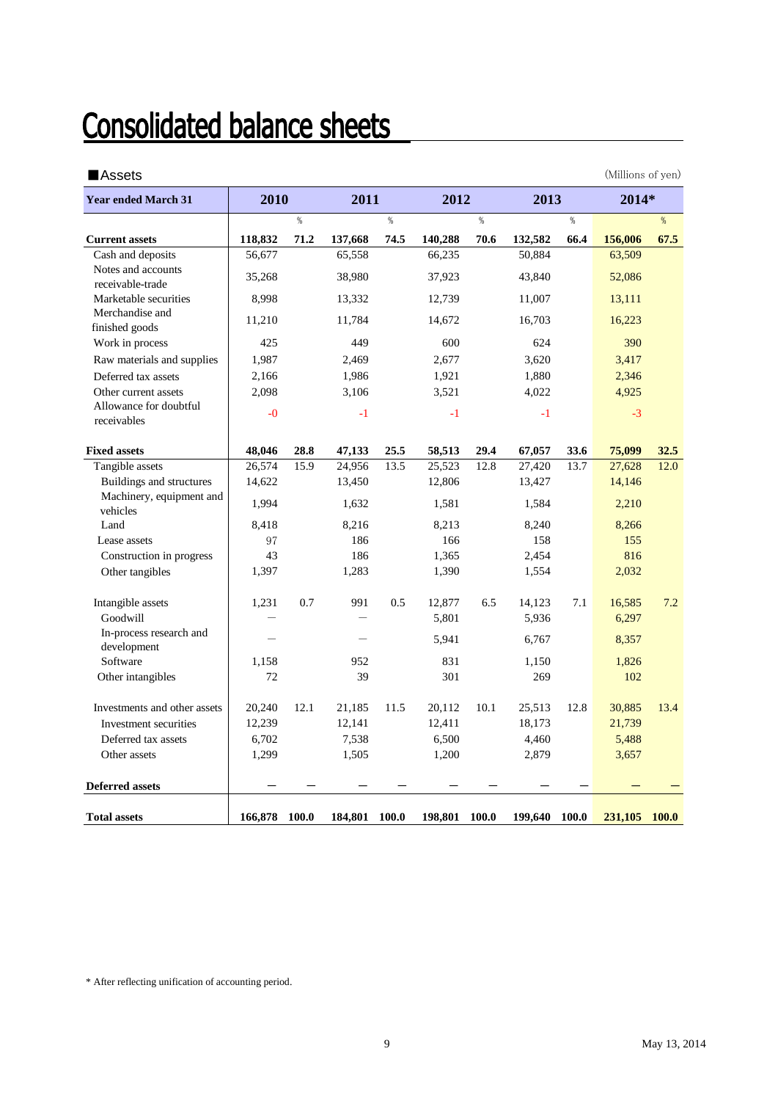## **Consolidated balance sheets**

| <b>Assets</b>                          |                                   |         |         |       |         |       |         |       | (Millions of yen) |              |
|----------------------------------------|-----------------------------------|---------|---------|-------|---------|-------|---------|-------|-------------------|--------------|
| <b>Year ended March 31</b>             | 2010                              |         | 2011    |       | 2012    |       | 2013    |       | 2014*             |              |
|                                        |                                   | %       |         | $\%$  |         | %     |         | %     |                   | %            |
| <b>Current assets</b>                  | 118,832                           | 71.2    | 137,668 | 74.5  | 140,288 | 70.6  | 132,582 | 66.4  | 156,006           | 67.5         |
| Cash and deposits                      | 56,677                            |         | 65,558  |       | 66,235  |       | 50,884  |       | 63,509            |              |
| Notes and accounts<br>receivable-trade | 35,268                            |         | 38,980  |       | 37,923  |       | 43,840  |       | 52,086            |              |
| Marketable securities                  | 8,998                             |         | 13,332  |       | 12,739  |       | 11,007  |       | 13,111            |              |
| Merchandise and<br>finished goods      | 11,210                            |         | 11,784  |       | 14,672  |       | 16,703  |       | 16,223            |              |
| Work in process                        | 425                               |         | 449     |       | 600     |       | 624     |       | 390               |              |
| Raw materials and supplies             | 1,987                             |         | 2,469   |       | 2,677   |       | 3,620   |       | 3,417             |              |
| Deferred tax assets                    | 2,166                             |         | 1,986   |       | 1,921   |       | 1,880   |       | 2,346             |              |
| Other current assets                   | 2,098                             |         | 3,106   |       | 3,521   |       | 4,022   |       | 4,925             |              |
| Allowance for doubtful<br>receivables  | $-0$                              |         | $-1$    |       | $-1$    |       | $-1$    |       | $-3$              |              |
| <b>Fixed assets</b>                    | 48,046                            | 28.8    | 47,133  | 25.5  | 58,513  | 29.4  | 67,057  | 33.6  | 75,099            | 32.5         |
| Tangible assets                        | 26,574                            | 15.9    | 24,956  | 13.5  | 25,523  | 12.8  | 27,420  | 13.7  | 27,628            | 12.0         |
| Buildings and structures               | 14,622                            |         | 13,450  |       | 12,806  |       | 13,427  |       | 14,146            |              |
| Machinery, equipment and<br>vehicles   | 1.994                             |         | 1,632   |       | 1,581   |       | 1,584   |       | 2,210             |              |
| Land                                   | 8,418                             |         | 8,216   |       | 8,213   |       | 8,240   |       | 8,266             |              |
| Lease assets                           | 97                                |         | 186     |       | 166     |       | 158     |       | 155               |              |
| Construction in progress               | 43                                |         | 186     |       | 1,365   |       | 2,454   |       | 816               |              |
| Other tangibles                        | 1,397                             |         | 1,283   |       | 1,390   |       | 1,554   |       | 2,032             |              |
| Intangible assets                      | 1,231<br>$\overline{\phantom{0}}$ | $0.7\,$ | 991     | 0.5   | 12,877  | 6.5   | 14,123  | 7.1   | 16,585            | 7.2          |
| Goodwill                               |                                   |         |         |       | 5,801   |       | 5,936   |       | 6,297             |              |
| In-process research and<br>development |                                   |         |         |       | 5,941   |       | 6,767   |       | 8,357             |              |
| Software                               | 1,158                             |         | 952     |       | 831     |       | 1,150   |       | 1,826             |              |
| Other intangibles                      | 72                                |         | 39      |       | 301     |       | 269     |       | 102               |              |
| Investments and other assets           | 20,240                            | 12.1    | 21,185  | 11.5  | 20,112  | 10.1  | 25,513  | 12.8  | 30,885            | 13.4         |
| Investment securities                  | 12,239                            |         | 12,141  |       | 12,411  |       | 18,173  |       | 21,739            |              |
| Deferred tax assets                    | 6,702                             |         | 7,538   |       | 6,500   |       | 4,460   |       | 5,488             |              |
| Other assets                           | 1,299                             |         | 1,505   |       | 1,200   |       | 2,879   |       | 3,657             |              |
| <b>Deferred assets</b>                 |                                   |         |         |       |         |       |         |       |                   |              |
| <b>Total assets</b>                    | 166,878                           | 100.0   | 184,801 | 100.0 | 198,801 | 100.0 | 199,640 | 100.0 | 231,105           | <b>100.0</b> |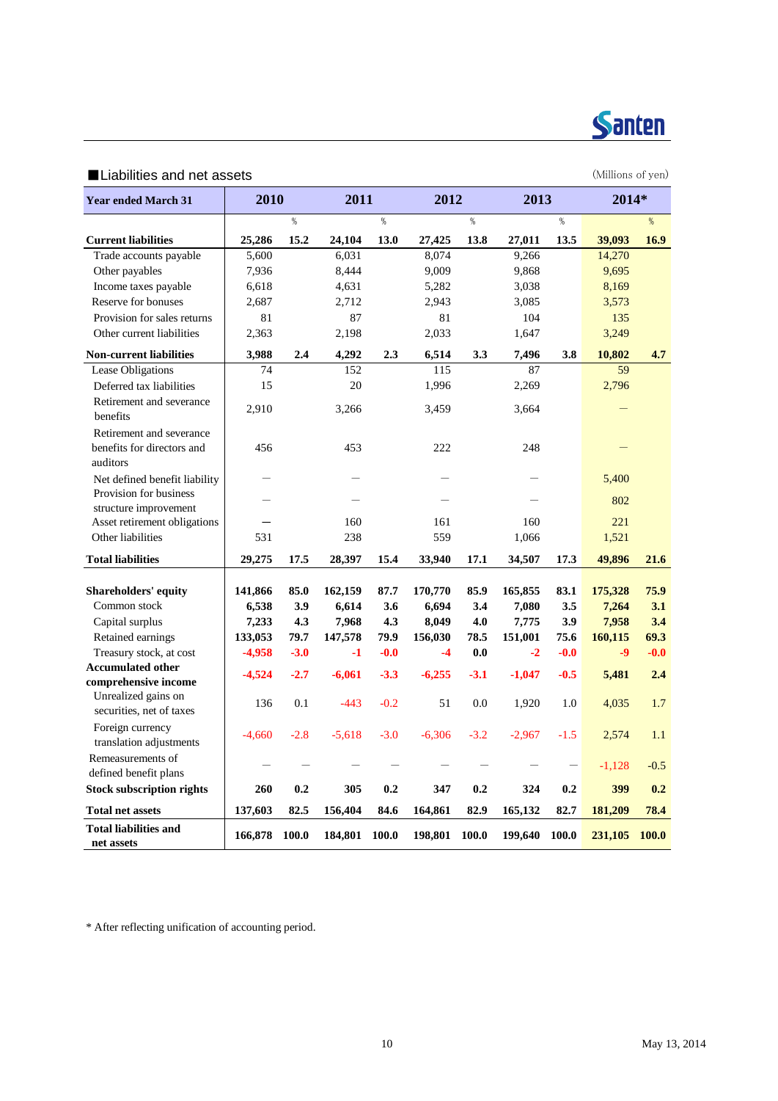

### ■Liabilities and net assets (Millions of yen)

| <b>Year ended March 31</b>                                         | 2010     |        | 2011     |        | 2012     |        | 2013     |        | 2014*    |              |
|--------------------------------------------------------------------|----------|--------|----------|--------|----------|--------|----------|--------|----------|--------------|
|                                                                    |          |        |          |        |          |        |          |        |          |              |
|                                                                    |          | $\%$   |          | $\%$   |          | %      |          | %      |          | %            |
| <b>Current liabilities</b>                                         | 25,286   | 15.2   | 24,104   | 13.0   | 27,425   | 13.8   | 27,011   | 13.5   | 39,093   | 16.9         |
| Trade accounts payable                                             | 5,600    |        | 6,031    |        | 8,074    |        | 9,266    |        | 14,270   |              |
| Other payables                                                     | 7,936    |        | 8,444    |        | 9,009    |        | 9,868    |        | 9,695    |              |
| Income taxes payable                                               | 6,618    |        | 4,631    |        | 5,282    |        | 3,038    |        | 8,169    |              |
| Reserve for bonuses                                                | 2,687    |        | 2,712    |        | 2,943    |        | 3,085    |        | 3,573    |              |
| Provision for sales returns                                        | 81       |        | 87       |        | 81       |        | 104      |        | 135      |              |
| Other current liabilities                                          | 2,363    |        | 2,198    |        | 2,033    |        | 1,647    |        | 3,249    |              |
| <b>Non-current liabilities</b>                                     | 3,988    | 2.4    | 4,292    | 2.3    | 6,514    | 3.3    | 7,496    | 3.8    | 10,802   | 4.7          |
| Lease Obligations                                                  | 74       |        | 152      |        | 115      |        | 87       |        | 59       |              |
| Deferred tax liabilities                                           | 15       |        | 20       |        | 1,996    |        | 2,269    |        | 2,796    |              |
| Retirement and severance<br>benefits                               | 2,910    |        | 3,266    |        | 3,459    |        | 3,664    |        |          |              |
| Retirement and severance<br>benefits for directors and<br>auditors | 456      |        | 453      |        | 222      |        | 248      |        |          |              |
| Net defined benefit liability                                      |          |        |          |        |          |        |          |        | 5,400    |              |
| Provision for business<br>structure improvement                    |          |        |          |        |          |        |          |        | 802      |              |
| Asset retirement obligations                                       |          |        | 160      |        | 161      |        | 160      |        | 221      |              |
| Other liabilities                                                  | 531      |        | 238      |        | 559      |        | 1,066    |        | 1,521    |              |
| <b>Total liabilities</b>                                           | 29,275   | 17.5   | 28,397   | 15.4   | 33,940   | 17.1   | 34,507   | 17.3   | 49,896   | 21.6         |
|                                                                    |          |        |          |        |          |        |          |        |          |              |
| <b>Shareholders' equity</b>                                        | 141,866  | 85.0   | 162,159  | 87.7   | 170,770  | 85.9   | 165,855  | 83.1   | 175,328  | 75.9         |
| Common stock                                                       | 6,538    | 3.9    | 6,614    | 3.6    | 6,694    | 3.4    | 7,080    | 3.5    | 7,264    | 3.1          |
| Capital surplus                                                    | 7,233    | 4.3    | 7,968    | 4.3    | 8,049    | 4.0    | 7,775    | 3.9    | 7,958    | 3.4          |
| Retained earnings                                                  | 133,053  | 79.7   | 147,578  | 79.9   | 156,030  | 78.5   | 151,001  | 75.6   | 160,115  | 69.3         |
| Treasury stock, at cost                                            | $-4,958$ | $-3.0$ | $-1$     | $-0.0$ | $-4$     | 0.0    | $-2$     | $-0.0$ | $-9$     | $-0.0$       |
| <b>Accumulated other</b>                                           | $-4,524$ | $-2.7$ | $-6,061$ | $-3.3$ | $-6,255$ | $-3.1$ | $-1,047$ | $-0.5$ | 5,481    | 2.4          |
| comprehensive income                                               |          |        |          |        |          |        |          |        |          |              |
| Unrealized gains on<br>securities, net of taxes                    | 136      | 0.1    | $-443$   | $-0.2$ | 51       | 0.0    | 1,920    | 1.0    | 4,035    | 1.7          |
| Foreign currency<br>translation adjustments                        | $-4,660$ | $-2.8$ | $-5,618$ | $-3.0$ | $-6,306$ | $-3.2$ | $-2,967$ | $-1.5$ | 2,574    | 1.1          |
| Remeasurements of<br>defined benefit plans                         |          |        |          |        |          |        |          |        | $-1,128$ | $-0.5$       |
| <b>Stock subscription rights</b>                                   | 260      | 0.2    | 305      | 0.2    | 347      | 0.2    | 324      | 0.2    | 399      | 0.2          |
| <b>Total net assets</b>                                            | 137,603  | 82.5   | 156,404  | 84.6   | 164,861  | 82.9   | 165,132  | 82.7   | 181,209  | 78.4         |
| <b>Total liabilities and</b>                                       |          |        |          |        |          |        |          |        |          |              |
| net assets                                                         | 166,878  | 100.0  | 184,801  | 100.0  | 198,801  | 100.0  | 199,640  | 100.0  | 231,105  | <b>100.0</b> |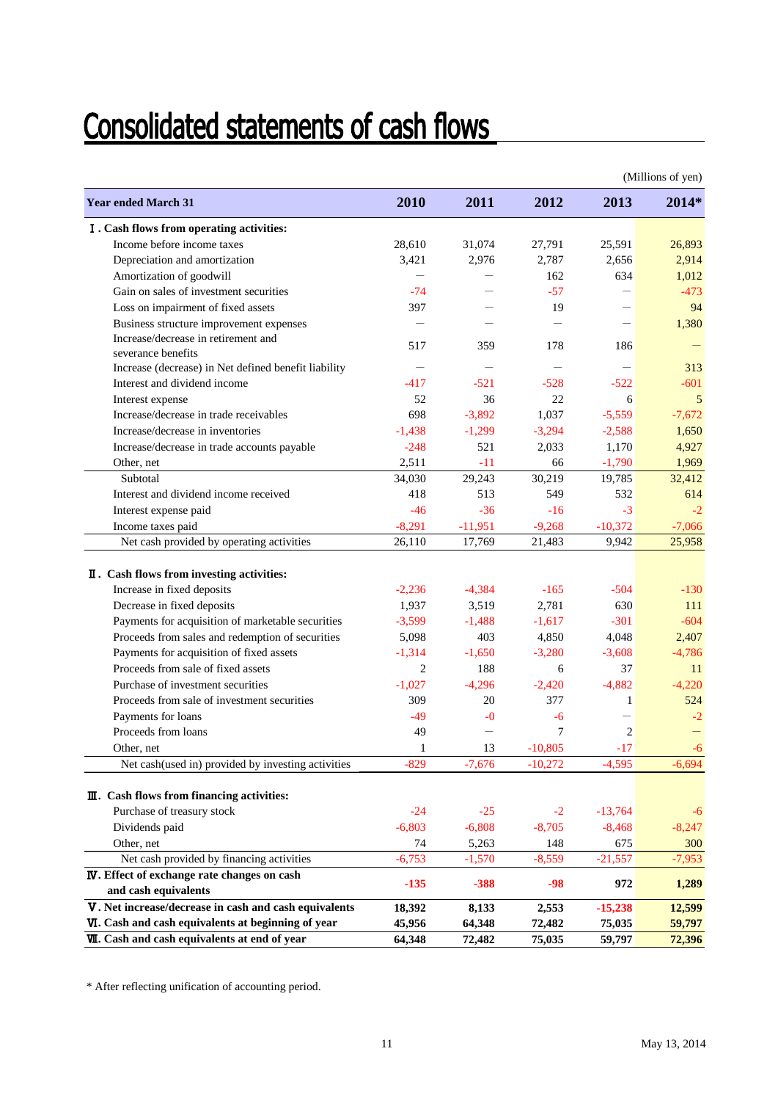# **Consolidated statements of cash flows**

|                                                                         |                |                 |                   |                | (Millions of yen) |
|-------------------------------------------------------------------------|----------------|-----------------|-------------------|----------------|-------------------|
| <b>Year ended March 31</b>                                              | 2010           | 2011            | 2012              | 2013           | $2014*$           |
| I. Cash flows from operating activities:                                |                |                 |                   |                |                   |
| Income before income taxes                                              | 28,610         | 31,074          | 27,791            | 25,591         | 26,893            |
| Depreciation and amortization                                           | 3,421          | 2,976           | 2,787             | 2,656          | 2,914             |
| Amortization of goodwill                                                |                |                 | 162               | 634            | 1,012             |
| Gain on sales of investment securities                                  | $-74$          |                 | $-57$             |                | $-473$            |
| Loss on impairment of fixed assets                                      | 397            |                 | 19                |                | 94                |
| Business structure improvement expenses                                 |                |                 |                   |                | 1,380             |
| Increase/decrease in retirement and                                     | 517            | 359             | 178               | 186            |                   |
| severance benefits                                                      |                |                 |                   |                |                   |
| Increase (decrease) in Net defined benefit liability                    |                |                 |                   |                | 313               |
| Interest and dividend income                                            | $-417$         | $-521$          | $-528$            | $-522$         | $-601$            |
| Interest expense                                                        | 52             | 36              | 22                | 6              | 5                 |
| Increase/decrease in trade receivables                                  | 698            | $-3,892$        | 1,037             | $-5,559$       | $-7,672$          |
| Increase/decrease in inventories                                        | $-1,438$       | $-1,299$        | $-3,294$          | $-2.588$       | 1,650             |
| Increase/decrease in trade accounts payable                             | $-248$         | 521             | 2,033             | 1,170          | 4,927             |
| Other, net                                                              | 2,511          | $-11$           | 66                | $-1,790$       | 1,969             |
| Subtotal                                                                | 34,030         | 29,243          | 30,219            | 19,785         | 32,412            |
| Interest and dividend income received                                   | 418            | 513             | 549               | 532            | 614               |
| Interest expense paid                                                   | $-46$          | $-36$           | $-16$             | $-3$           | $-2$              |
| Income taxes paid                                                       | $-8,291$       | $-11,951$       | $-9,268$          | $-10,372$      | $-7,066$          |
| Net cash provided by operating activities                               | 26,110         | 17,769          | 21,483            | 9,942          | 25,958            |
|                                                                         |                |                 |                   |                |                   |
| II. Cash flows from investing activities:<br>Increase in fixed deposits | $-2,236$       | $-4,384$        | $-165$            | $-504$         | $-130$            |
|                                                                         |                | 3,519           |                   | 630            | 111               |
| Decrease in fixed deposits                                              | 1,937          |                 | 2,781             |                | $-604$            |
| Payments for acquisition of marketable securities                       | $-3,599$       | $-1,488$<br>403 | $-1,617$          | $-301$         |                   |
| Proceeds from sales and redemption of securities                        | 5,098          |                 | 4,850<br>$-3,280$ | 4,048          | 2,407             |
| Payments for acquisition of fixed assets                                | $-1,314$       | $-1,650$        |                   | $-3,608$       | $-4,786$          |
| Proceeds from sale of fixed assets                                      | $\overline{2}$ | 188             | 6                 | 37             | 11                |
| Purchase of investment securities                                       | $-1,027$       | $-4,296$        | $-2,420$          | $-4,882$       | $-4.220$          |
| Proceeds from sale of investment securities                             | 309            | 20              | 377               | 1              | 524               |
| Payments for loans                                                      | $-49$          | $-0$            | -6                |                | $-2$              |
| Proceeds from loans                                                     | 49             |                 | 7                 | $\overline{2}$ |                   |
| Other, net                                                              | 1              | 13              | $-10.805$         | $-17$          | $-6$              |
| Net cash(used in) provided by investing activities                      | $-829$         | $-7,676$        | $-10,272$         | $-4,595$       | $-6,694$          |
| III. Cash flows from financing activities:                              |                |                 |                   |                |                   |
| Purchase of treasury stock                                              | $-24$          | $-25$           | $-2$              | $-13,764$      | -6                |
| Dividends paid                                                          | $-6,803$       | $-6,808$        | $-8,705$          | $-8,468$       | $-8,247$          |
| Other, net                                                              | 74             | 5,263           | 148               | 675            | 300               |
| Net cash provided by financing activities                               | $-6,753$       | $-1,570$        | $-8,559$          | $-21,557$      | $-7,953$          |
| <b>IV</b> . Effect of exchange rate changes on cash                     |                |                 |                   |                |                   |
| and cash equivalents                                                    | $-135$         | $-388$          | $-98$             | 972            | 1,289             |
| V. Net increase/decrease in cash and cash equivalents                   | 18,392         | 8,133           | 2,553             | $-15,238$      | 12,599            |
| VI. Cash and cash equivalents at beginning of year                      | 45,956         | 64,348          | 72,482            | 75,035         | 59,797            |
| VII. Cash and cash equivalents at end of year                           | 64,348         | 72,482          | 75,035            | 59,797         | 72,396            |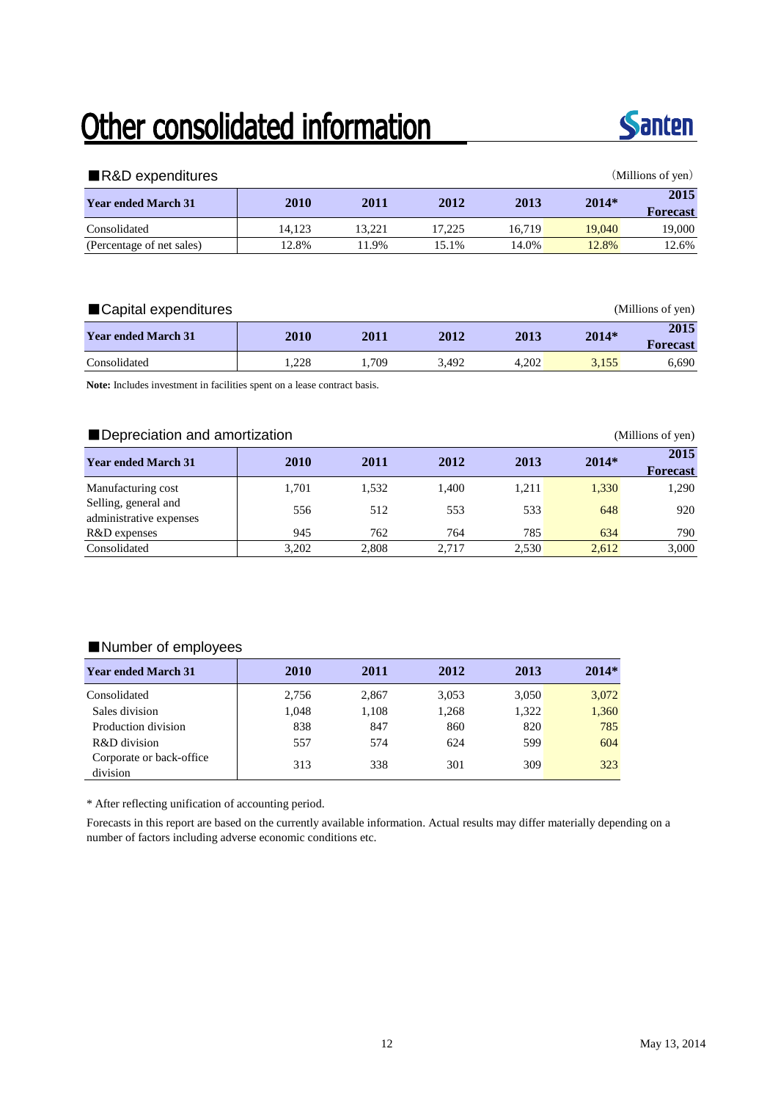## Other consolidated information



| ■R&D expenditures          |        |        |        |        |         | (Millions of yen)       |
|----------------------------|--------|--------|--------|--------|---------|-------------------------|
| <b>Year ended March 31</b> | 2010   | 2011   | 2012   | 2013   | $2014*$ | 2015<br><b>Forecast</b> |
| Consolidated               | 14.123 | 13.221 | 17.225 | 16.719 | 19,040  | 19,000                  |
| (Percentage of net sales)  | 12.8%  | 1.9%   | 15.1%  | 14.0%  | 12.8%   | 12.6%                   |

| ■ Capital expenditures     |             |       |       |       |         | (Millions of yen) |
|----------------------------|-------------|-------|-------|-------|---------|-------------------|
| <b>Year ended March 31</b> | <b>2010</b> | 2011  | 2012  | 2013  | $2014*$ | 2015<br>Forecast  |
| Consolidated               | .228        | . 709 | 3.492 | 4.202 | 3.155   | 6.690             |

**Note:** Includes investment in facilities spent on a lease contract basis.

### ■ Depreciation and amortization (Millions of yen)

| <b>Year ended March 31</b>                      | 2010  | 2011  | 2012  | 2013  | $2014*$ | 2015<br><b>Forecast</b> |
|-------------------------------------------------|-------|-------|-------|-------|---------|-------------------------|
| Manufacturing cost                              | 1.701 | 1.532 | 1.400 | 1.211 | 1,330   | 1,290                   |
| Selling, general and<br>administrative expenses | 556   | 512   | 553   | 533   | 648     | 920                     |
| R&D expenses                                    | 945   | 762   | 764   | 785   | 634     | 790                     |
| Consolidated                                    | 3,202 | 2.808 | 2,717 | 2,530 | 2.612   | 3,000                   |

### ■Number of employees

| <b>Year ended March 31</b>           | 2010  | 2011  | 2012  | 2013  | $2014*$ |
|--------------------------------------|-------|-------|-------|-------|---------|
| Consolidated                         | 2,756 | 2,867 | 3,053 | 3,050 | 3,072   |
| Sales division                       | 1,048 | 1,108 | 1,268 | 1,322 | 1,360   |
| Production division                  | 838   | 847   | 860   | 820   | 785     |
| R&D division                         | 557   | 574   | 624   | 599   | 604     |
| Corporate or back-office<br>division | 313   | 338   | 301   | 309   | 323     |

\* After reflecting unification of accounting period.

Forecasts in this report are based on the currently available information. Actual results may differ materially depending on a number of factors including adverse economic conditions etc.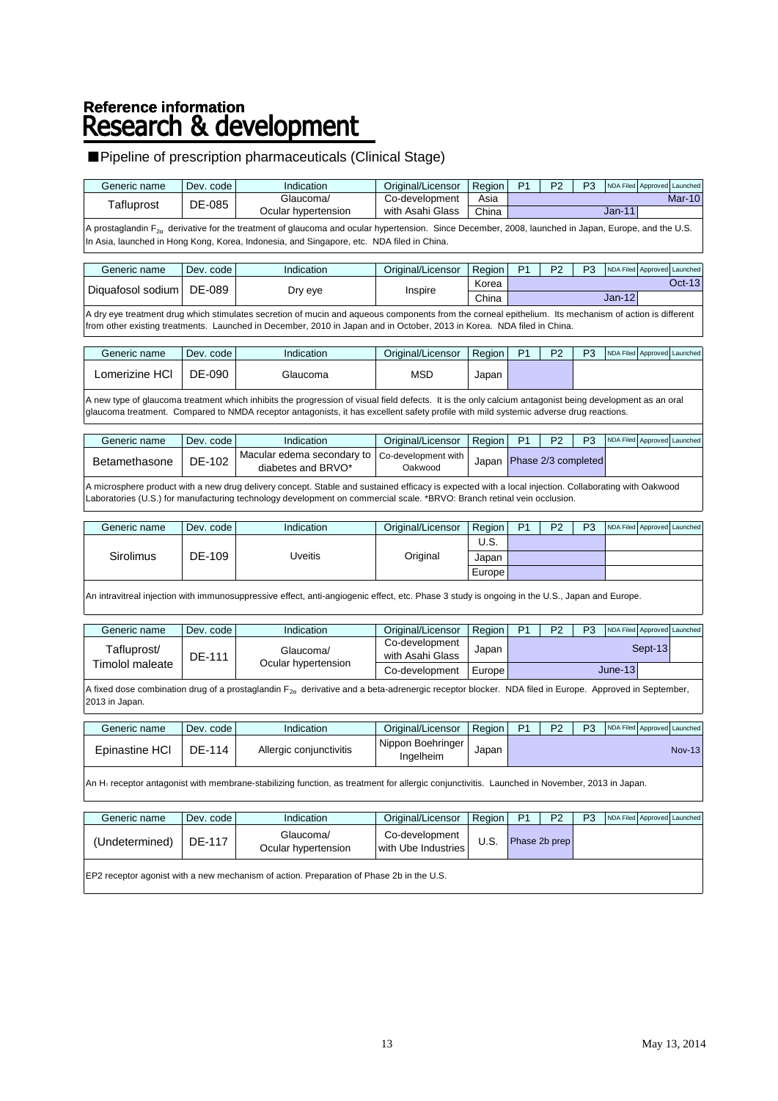# Reference information<br>Research & development

### ■Pipeline of prescription pharmaceuticals (Clinical Stage)

| Generic name           | Dev. code     | Indication                                                                                                                                                                                                                                                                                       | Original/Licensor                     | Region | P <sub>1</sub> | P <sub>2</sub>      | P <sub>3</sub> | NDA Filed Approved Launched |                   |
|------------------------|---------------|--------------------------------------------------------------------------------------------------------------------------------------------------------------------------------------------------------------------------------------------------------------------------------------------------|---------------------------------------|--------|----------------|---------------------|----------------|-----------------------------|-------------------|
| Tafluprost             | DE-085        | Glaucoma/                                                                                                                                                                                                                                                                                        | Co-development                        | Asia   |                |                     |                |                             | Mar-10            |
|                        |               | Ocular hypertension                                                                                                                                                                                                                                                                              | with Asahi Glass                      | China  |                |                     |                | $Jan-11$                    |                   |
|                        |               | A prostaglandin F <sub>2a</sub> derivative for the treatment of glaucoma and ocular hypertension. Since December, 2008, launched in Japan, Europe, and the U.S.<br>In Asia, launched in Hong Kong, Korea, Indonesia, and Singapore, etc. NDA filed in China.                                     |                                       |        |                |                     |                |                             |                   |
| Generic name           | Dev. code     | Indication                                                                                                                                                                                                                                                                                       | Original/Licensor                     | Region | P <sub>1</sub> | P <sub>2</sub>      | P <sub>3</sub> | NDA Filed Approved Launched |                   |
|                        |               |                                                                                                                                                                                                                                                                                                  |                                       | Korea  |                |                     |                |                             | Oct-13            |
| Diquafosol sodium      | DE-089        | Dry eye                                                                                                                                                                                                                                                                                          | Inspire                               | China  |                |                     |                | $Jan-12$                    |                   |
|                        |               | A dry eye treatment drug which stimulates secretion of mucin and aqueous components from the corneal epithelium. Its mechanism of action is different<br>from other existing treatments. Launched in December, 2010 in Japan and in October, 2013 in Korea. NDA filed in China.                  |                                       |        |                |                     |                |                             |                   |
| Generic name           | Dev. code     | Indication                                                                                                                                                                                                                                                                                       | Original/Licensor                     | Region | P <sub>1</sub> | P <sub>2</sub>      | P <sub>3</sub> | NDA Filed Approved Launched |                   |
|                        |               |                                                                                                                                                                                                                                                                                                  |                                       |        |                |                     |                |                             |                   |
| Lomerizine HCl         | DE-090        | Glaucoma                                                                                                                                                                                                                                                                                         | <b>MSD</b>                            | Japan  |                |                     |                |                             |                   |
|                        |               | A new type of glaucoma treatment which inhibits the progression of visual field defects. It is the only calcium antagonist being development as an oral<br>glaucoma treatment. Compared to NMDA receptor antagonists, it has excellent safety profile with mild systemic adverse drug reactions. |                                       |        |                |                     |                |                             |                   |
| Generic name           | Dev. code     | Indication                                                                                                                                                                                                                                                                                       | Original/Licensor                     | Region | P <sub>1</sub> | P <sub>2</sub>      | P <sub>3</sub> | NDA Filed                   | Approved Launched |
|                        |               | Macular edema secondary to                                                                                                                                                                                                                                                                       | Co-development with                   |        |                |                     |                |                             |                   |
| Betamethasone          | DE-102        | diabetes and BRVO*                                                                                                                                                                                                                                                                               | Oakwood                               | Japan  |                | Phase 2/3 completed |                |                             |                   |
|                        |               | A microsphere product with a new drug delivery concept. Stable and sustained efficacy is expected with a local injection. Collaborating with Oakwood<br>Laboratories (U.S.) for manufacturing technology development on commercial scale. *BRVO: Branch retinal vein occlusion.                  |                                       |        |                |                     |                |                             |                   |
| Generic name           | Dev. code     | Indication                                                                                                                                                                                                                                                                                       | Original/Licensor                     | Region | P <sub>1</sub> | P <sub>2</sub>      | P <sub>3</sub> | NDA Filed Approved Launched |                   |
|                        |               |                                                                                                                                                                                                                                                                                                  |                                       | U.S.   |                |                     |                |                             |                   |
| Sirolimus              | DE-109        | <b>Uveitis</b>                                                                                                                                                                                                                                                                                   | Original                              | Japan  |                |                     |                |                             |                   |
|                        |               |                                                                                                                                                                                                                                                                                                  |                                       | Europe |                |                     |                |                             |                   |
|                        |               | An intravitreal injection with immunosuppressive effect, anti-angiogenic effect, etc. Phase 3 study is ongoing in the U.S., Japan and Europe.                                                                                                                                                    |                                       |        |                |                     |                |                             |                   |
| Generic name           | Dev. code     | Indication                                                                                                                                                                                                                                                                                       | Original/Licensor                     | Region | P <sub>1</sub> | P <sub>2</sub>      | P <sub>3</sub> | NDA Filed Approved Launched |                   |
| Tafluprost/            |               |                                                                                                                                                                                                                                                                                                  | Co-development                        | Japan  |                |                     |                | Sept-13                     |                   |
| <b>Timolol maleate</b> | <b>DE-111</b> | Glaucoma/<br>Ocular hypertension                                                                                                                                                                                                                                                                 | with Asahi Glass                      |        |                |                     |                |                             |                   |
|                        |               |                                                                                                                                                                                                                                                                                                  | Co-development                        | Europe |                |                     |                | $June-13$                   |                   |
| 2013 in Japan.         |               | A fixed dose combination drug of a prostaglandin $F_{2a}$ derivative and a beta-adrenergic receptor blocker. NDA filed in Europe. Approved in September,                                                                                                                                         |                                       |        |                |                     |                |                             |                   |
| Generic name           | Dev. code     | Indication                                                                                                                                                                                                                                                                                       | Original/Licensor                     | Region | P <sub>1</sub> | P <sub>2</sub>      | P <sub>3</sub> | NDA Filed Approved Launched |                   |
| Epinastine HCI         | DE-114        | Allergic conjunctivitis                                                                                                                                                                                                                                                                          | Nippon Boehringer<br>Ingelheim        | Japan  |                |                     |                |                             | $Nov-13$          |
|                        |               | An H <sub>1</sub> receptor antagonist with membrane-stabilizing function, as treatment for allergic conjunctivitis. Launched in November, 2013 in Japan.                                                                                                                                         |                                       |        |                |                     |                |                             |                   |
| Generic name           | Dev. code     | Indication                                                                                                                                                                                                                                                                                       | Original/Licensor                     | Region | P <sub>1</sub> | P <sub>2</sub>      | P <sub>3</sub> | NDA Filed Approved Launched |                   |
|                        |               |                                                                                                                                                                                                                                                                                                  |                                       |        |                |                     |                |                             |                   |
| (Undetermined)         | DE-117        | Glaucoma/<br>Ocular hypertension                                                                                                                                                                                                                                                                 | Co-development<br>with Ube Industries | U.S.   |                | Phase 2b prep       |                |                             |                   |

EP2 receptor agonist with a new mechanism of action. Preparation of Phase 2b in the U.S.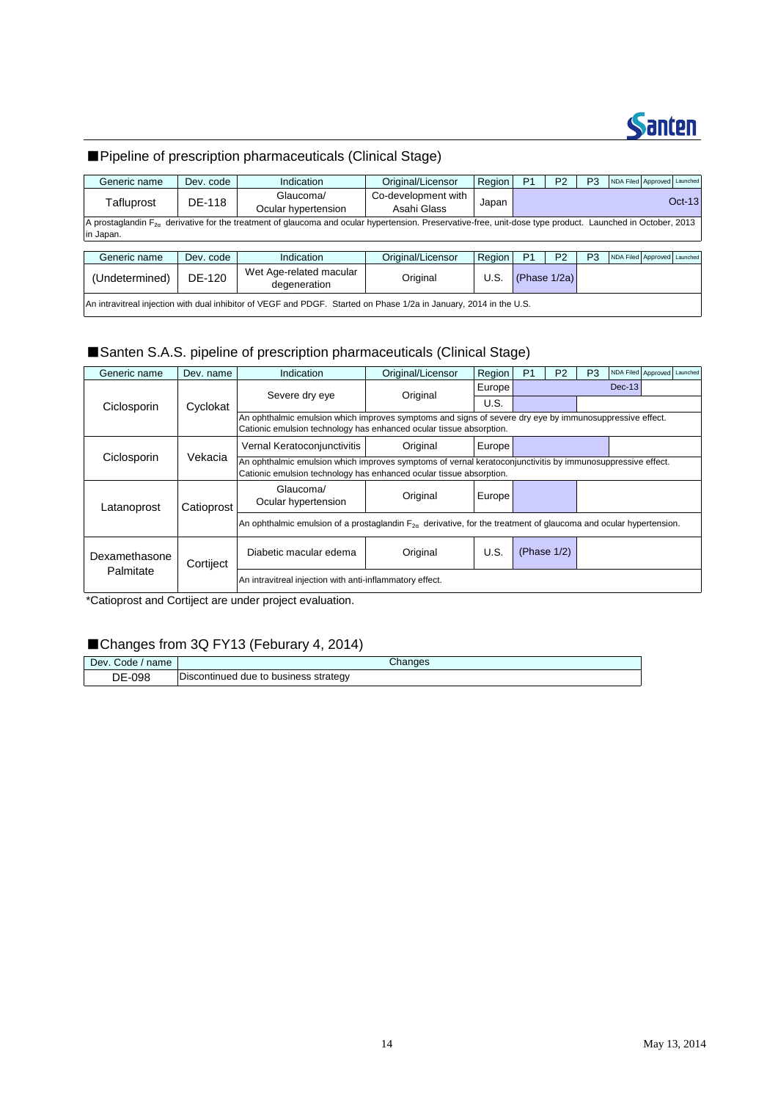

### ■Pipeline of prescription pharmaceuticals (Clinical Stage)

| Generic name   | Dev. code                                                                                                          | Indication                                                                                                                                                      | Original/Licensor                  | Region | P <sub>1</sub> | P <sub>2</sub> | P3             | NDA Filed Approved Launched |          |
|----------------|--------------------------------------------------------------------------------------------------------------------|-----------------------------------------------------------------------------------------------------------------------------------------------------------------|------------------------------------|--------|----------------|----------------|----------------|-----------------------------|----------|
| Tafluprost     | DE-118                                                                                                             | Glaucoma/<br>Ocular hypertension                                                                                                                                | Co-development with<br>Asahi Glass | Japan  |                |                |                |                             | $Oct-13$ |
|                |                                                                                                                    | A prostaglandin $F_{2a}$ derivative for the treatment of glaucoma and ocular hypertension. Preservative-free, unit-dose type product. Launched in October, 2013 |                                    |        |                |                |                |                             |          |
| in Japan.      |                                                                                                                    |                                                                                                                                                                 |                                    |        |                |                |                |                             |          |
|                |                                                                                                                    |                                                                                                                                                                 |                                    |        |                |                |                |                             |          |
| Generic name   | Dev. code                                                                                                          | Indication                                                                                                                                                      | Original/Licensor                  | Region | P <sub>1</sub> | P <sub>2</sub> | P <sub>3</sub> | NDA Filed Approved Launched |          |
| (Undetermined) | DE-120                                                                                                             | Wet Age-related macular<br>degeneration                                                                                                                         | Original                           | U.S.   |                | (Phase 1/2a)   |                |                             |          |
|                | An intravitreal injection with dual inhibitor of VEGF and PDGF. Started on Phase 1/2a in January, 2014 in the U.S. |                                                                                                                                                                 |                                    |        |                |                |                |                             |          |

### ■Santen S.A.S. pipeline of prescription pharmaceuticals (Clinical Stage)

| Generic name  | Dev. name  | Indication                                                                                                                                                                        | Original/Licensor                                                                                                                                                              | Region | P <sub>1</sub> | P <sub>2</sub> | P <sub>3</sub> |          | NDA Filed Approved Launched |  |  |  |
|---------------|------------|-----------------------------------------------------------------------------------------------------------------------------------------------------------------------------------|--------------------------------------------------------------------------------------------------------------------------------------------------------------------------------|--------|----------------|----------------|----------------|----------|-----------------------------|--|--|--|
|               |            | Severe dry eye                                                                                                                                                                    | Original                                                                                                                                                                       | Europe |                |                |                | $Dec-13$ |                             |  |  |  |
| Ciclosporin   | Cyclokat   |                                                                                                                                                                                   |                                                                                                                                                                                | U.S.   |                |                |                |          |                             |  |  |  |
|               |            |                                                                                                                                                                                   | An ophthalmic emulsion which improves symptoms and signs of severe dry eye by immunosuppressive effect.<br>Cationic emulsion technology has enhanced ocular tissue absorption. |        |                |                |                |          |                             |  |  |  |
|               |            | Vernal Keratoconjunctivitis                                                                                                                                                       | Original                                                                                                                                                                       | Europe |                |                |                |          |                             |  |  |  |
| Ciclosporin   | Vekacia    | An ophthalmic emulsion which improves symptoms of vernal keratoconjunctivitis by immunosuppressive effect.<br>Cationic emulsion technology has enhanced ocular tissue absorption. |                                                                                                                                                                                |        |                |                |                |          |                             |  |  |  |
| Latanoprost   | Catioprost | Glaucoma/<br>Ocular hypertension                                                                                                                                                  | Original                                                                                                                                                                       | Europe |                |                |                |          |                             |  |  |  |
|               |            | An ophthalmic emulsion of a prostaglandin $F_{2n}$ derivative, for the treatment of glaucoma and ocular hypertension.                                                             |                                                                                                                                                                                |        |                |                |                |          |                             |  |  |  |
| Dexamethasone | Cortiject  | Diabetic macular edema                                                                                                                                                            | Original                                                                                                                                                                       | U.S.   |                | (Phase $1/2$ ) |                |          |                             |  |  |  |
| Palmitate     |            | An intravitreal injection with anti-inflammatory effect.                                                                                                                          |                                                                                                                                                                                |        |                |                |                |          |                             |  |  |  |

\*Catioprost and Cortiject are under project evaluation.

### ■Changes from 3Q FY13 (Feburary 4, 2014)

| Dev. Code / name | Changes                               |
|------------------|---------------------------------------|
| DE-098           | Discontinued due to business strategy |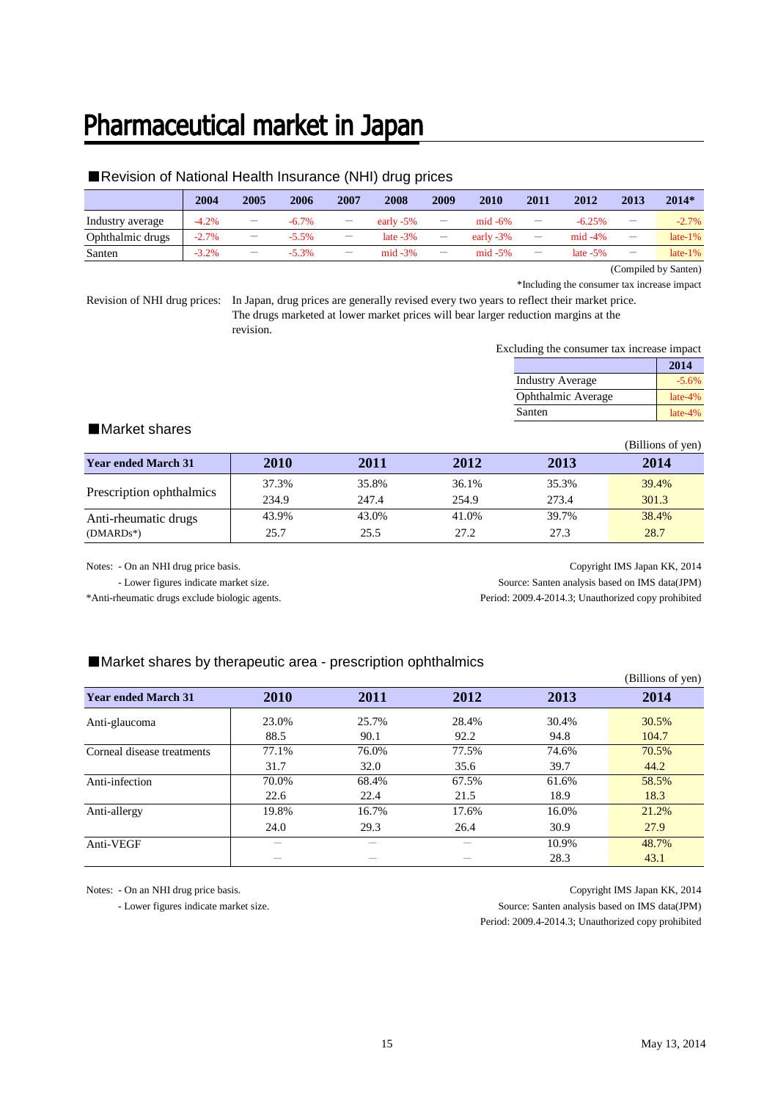### Pharmaceutical market in Japan

### ■Revision of National Health Insurance (NHI) drug prices

|                  | 2004    | 2005                     | 2006     | 2007                     | 2008         | 2009                     | 2010         | 2011                            | 2012        | 2013                     | 2014*                                                     |
|------------------|---------|--------------------------|----------|--------------------------|--------------|--------------------------|--------------|---------------------------------|-------------|--------------------------|-----------------------------------------------------------|
| Industry average | $-4.2%$ | $\overline{\phantom{a}}$ | $-6.7\%$ | $\qquad \qquad -$        | early $-5\%$ | $\overline{\phantom{m}}$ | $mid -6\%$   | $\overline{\phantom{m}}$        | $-6.25%$    | -                        | $-2.7%$                                                   |
| Ophthalmic drugs | $-2.7%$ | $\overline{\phantom{m}}$ | $-5.5%$  | $\qquad \qquad -$        | late $-3\%$  | $\overline{\phantom{m}}$ | early $-3\%$ | $\hspace{0.1mm}-\hspace{0.1mm}$ | $mid -4\%$  | $\qquad \qquad -$        | $late-1%$                                                 |
| Santen           | $-3.2%$ | $\overline{\phantom{m}}$ | $-5.3%$  | $\overline{\phantom{m}}$ | $mid -3%$    | $\overline{\phantom{m}}$ | $mid -5%$    | $\qquad \qquad -$               | late $-5\%$ | $\overline{\phantom{m}}$ | $late-1%$                                                 |
|                  |         |                          |          |                          |              |                          |              |                                 |             | $\sim$                   | $\mathbf{a}$ , $\mathbf{a}$ , $\mathbf{a}$ , $\mathbf{a}$ |

(Compiled by Santen) \*Including the consumer tax increase impact

Revision of NHI drug prices: In Japan, drug prices are generally revised every two years to reflect their market price. The drugs marketed at lower market prices will bear larger reduction margins at the revision.

Excluding the consumer tax increase impact

|                         | 2014      |
|-------------------------|-----------|
| <b>Industry Average</b> | $-5.6%$   |
| Ophthalmic Average      | $late-4%$ |
| Santen                  | $late-4%$ |

### ■Market shares

|                            |       |       |       |       | (Billions of yen) |
|----------------------------|-------|-------|-------|-------|-------------------|
| <b>Year ended March 31</b> | 2010  | 2011  | 2012  | 2013  | 2014              |
| Prescription ophthalmics   | 37.3% | 35.8% | 36.1% | 35.3% | 39.4%             |
|                            | 234.9 | 247.4 | 254.9 | 273.4 | 301.3             |
| Anti-rheumatic drugs       | 43.9% | 43.0% | 41.0% | 39.7% | 38.4%             |
| $(DMARDs^*)$               | 25.7  | 25.5  | 27.2  | 27.3  | 28.7              |

Notes: - On an NHI drug price basis. Copyright IMS Japan KK, 2014 - Lower figures indicate market size. Source: Santen analysis based on IMS data(JPM) \*Anti-rheumatic drugs exclude biologic agents. Period: 2009.4-2014.3; Unauthorized copy prohibited

### ■Market shares by therapeutic area - prescription ophthalmics

|                            |             |       |       |       | (Billions of yen) |
|----------------------------|-------------|-------|-------|-------|-------------------|
| <b>Year ended March 31</b> | <b>2010</b> | 2011  | 2012  | 2013  | 2014              |
| Anti-glaucoma              | 23.0%       | 25.7% | 28.4% | 30.4% | 30.5%             |
|                            | 88.5        | 90.1  | 92.2  | 94.8  | 104.7             |
| Corneal disease treatments | 77.1%       | 76.0% | 77.5% | 74.6% | 70.5%             |
|                            | 31.7        | 32.0  | 35.6  | 39.7  | 44.2              |
| Anti-infection             | 70.0%       | 68.4% | 67.5% | 61.6% | 58.5%             |
|                            | 22.6        | 22.4  | 21.5  | 18.9  | 18.3              |
| Anti-allergy               | 19.8%       | 16.7% | 17.6% | 16.0% | 21.2%             |
|                            | 24.0        | 29.3  | 26.4  | 30.9  | 27.9              |
| Anti-VEGF                  |             |       |       | 10.9% | 48.7%             |
|                            |             |       |       | 28.3  | 43.1              |

Notes: - On an NHI drug price basis. Copyright IMS Japan KK, 2014 - Lower figures indicate market size. Source: Santen analysis based on IMS data(JPM) Period: 2009.4-2014.3; Unauthorized copy prohibited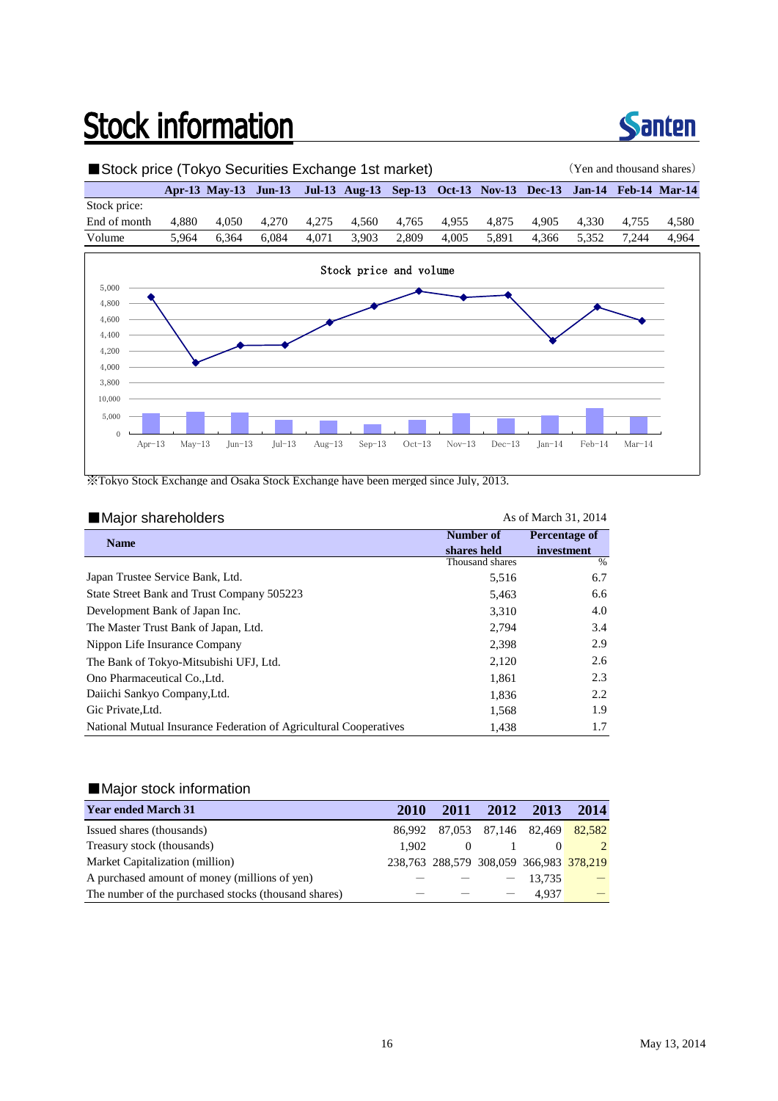# **Stock information**



### ■Stock price (Tokyo Securities Exchange 1st market) (Yen and thousand shares) **Apr-13 May-13 Jun-13 Jul-13 Aug-13 Sep-13 Oct-13 Nov-13 Dec-13 Jan-14 Feb-14 Mar-14** Stock price: End of month 4,880 4,050 4,270 4,275 4,560 4,765 4,955 4,875 4,905 4,330 4,755 4,580 Volume 5,964 6,364 6,084 4,071 3,903 2,809 4,005 5,891 4,366 5,352 7,244 4,964 0 5,000 10,000 Apr-13 May-13 Jun-13 Jul-13 Aug-13 Sep-13 Oct-13 Nov-13 Dec-13 Jan-14 Feb-14 Mar-14 3,800 4,000 4,200 4,400 4,600 4,800 5,000 Stock price and volume

※Tokyo Stock Exchange and Osaka Stock Exchange have been merged since July, 2013.

#### ■Major shareholders As of March 31, 2014 **Name** 5,516 6.7 5,463 3,310 2,794 2,398 2,120 1,861 1,836 1,568 1,438 Ono Pharmaceutical Co.,Ltd. Daiichi Sankyo Company,Ltd. 2.2 1.9 **Number of shares held Percentage of investment** % 4.0 3.4 6.6 The Master Trust Bank of Japan, Ltd. State Street Bank and Trust Company 505223 Development Bank of Japan Inc. Thousand shares Nippon Life Insurance Company 2.998 2.9 Japan Trustee Service Bank, Ltd. 2.3 The Bank of Tokyo-Mitsubishi UFJ, Ltd. 2.6 2.120 2.6 Gic Private,Ltd. National Mutual Insurance Federation of Agricultural Cooperatives 1.7

### ■Major stock information

| <b>Year ended March 31</b>                           | 2010  |                                         | 2011 2012 2013 |           | 2014          |
|------------------------------------------------------|-------|-----------------------------------------|----------------|-----------|---------------|
| Issued shares (thousands)                            |       | 86,992 87,053 87,146 82,469 82,582      |                |           |               |
| Treasury stock (thousands)                           | 1.902 |                                         |                |           | $\mathcal{L}$ |
| Market Capitalization (million)                      |       | 238,763 288,579 308,059 366,983 378,219 |                |           |               |
| A purchased amount of money (millions of yen)        |       |                                         |                | $-13,735$ |               |
| The number of the purchased stocks (thousand shares) |       |                                         |                | 4.937     |               |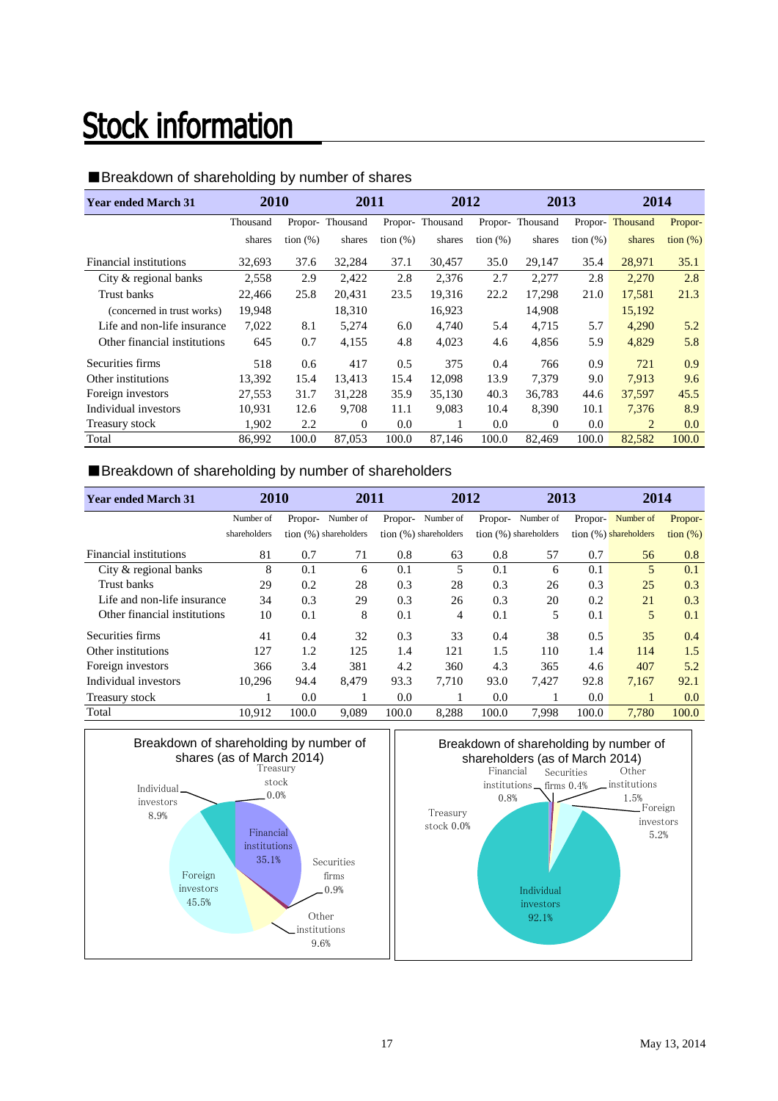# **Stock information**

### ■Breakdown of shareholding by number of shares

| <b>Year ended March 31</b>   | 2010     |             | 2011            |             | 2012            |             | 2013            |             | 2014            |                   |
|------------------------------|----------|-------------|-----------------|-------------|-----------------|-------------|-----------------|-------------|-----------------|-------------------|
|                              | Thousand |             | Propor-Thousand |             | Propor-Thousand |             | Propor-Thousand |             | Propor-Thousand | Propor-           |
|                              | shares   | tion $(\%)$ | shares          | tion $(\%)$ | shares          | tion $(\%)$ | shares          | tion $(\%)$ | shares          | $\frac{1}{2}$ (%) |
| Financial institutions       | 32,693   | 37.6        | 32,284          | 37.1        | 30,457          | 35.0        | 29,147          | 35.4        | 28,971          | 35.1              |
| City & regional banks        | 2,558    | 2.9         | 2,422           | 2.8         | 2,376           | 2.7         | 2,277           | 2.8         | 2,270           | 2.8               |
| Trust banks                  | 22,466   | 25.8        | 20.431          | 23.5        | 19.316          | 22.2        | 17.298          | 21.0        | 17,581          | 21.3              |
| (concerned in trust works)   | 19,948   |             | 18,310          |             | 16,923          |             | 14,908          |             | 15,192          |                   |
| Life and non-life insurance  | 7,022    | 8.1         | 5,274           | 6.0         | 4.740           | 5.4         | 4,715           | 5.7         | 4,290           | 5.2               |
| Other financial institutions | 645      | 0.7         | 4,155           | 4.8         | 4,023           | 4.6         | 4,856           | 5.9         | 4,829           | 5.8               |
| Securities firms             | 518      | 0.6         | 417             | 0.5         | 375             | 0.4         | 766             | 0.9         | 721             | 0.9               |
| Other institutions           | 13,392   | 15.4        | 13.413          | 15.4        | 12.098          | 13.9        | 7.379           | 9.0         | 7.913           | 9.6               |
| Foreign investors            | 27,553   | 31.7        | 31,228          | 35.9        | 35,130          | 40.3        | 36,783          | 44.6        | 37,597          | 45.5              |
| Individual investors         | 10,931   | 12.6        | 9,708           | 11.1        | 9,083           | 10.4        | 8,390           | 10.1        | 7,376           | 8.9               |
| Treasury stock               | 1,902    | 2.2         | $\Omega$        | 0.0         |                 | 0.0         | $\Omega$        | 0.0         | 2               | 0.0               |
| Total                        | 86.992   | 100.0       | 87,053          | 100.0       | 87.146          | 100.0       | 82,469          | 100.0       | 82.582          | 100.0             |

### ■Breakdown of shareholding by number of shareholders

| <b>Year ended March 31</b>   | 2010         |         | 2011                    |         | 2012                    |         | 2013                    |         | 2014                  |                   |
|------------------------------|--------------|---------|-------------------------|---------|-------------------------|---------|-------------------------|---------|-----------------------|-------------------|
|                              | Number of    | Propor- | Number of               | Propor- | Number of               | Propor- | Number of               | Propor- | Number of             | Propor-           |
|                              | shareholders |         | tion $(%)$ shareholders |         | tion $(%)$ shareholders |         | tion $(%)$ shareholders |         | tion (%) shareholders | $\frac{1}{2}$ (%) |
| Financial institutions       | 81           | 0.7     | 71                      | 0.8     | 63                      | 0.8     | 57                      | 0.7     | 56                    | 0.8               |
| City & regional banks        | 8            | 0.1     | 6                       | 0.1     | 5                       | 0.1     | 6                       | 0.1     | 5                     | 0.1               |
| Trust banks                  | 29           | 0.2     | 28                      | 0.3     | 28                      | 0.3     | 26                      | 0.3     | 25                    | 0.3               |
| Life and non-life insurance  | 34           | 0.3     | 29                      | 0.3     | 26                      | 0.3     | 20                      | 0.2     | 21                    | 0.3               |
| Other financial institutions | 10           | 0.1     | 8                       | 0.1     | 4                       | 0.1     | 5                       | 0.1     | 5                     | 0.1               |
| Securities firms             | 41           | 0.4     | 32                      | 0.3     | 33                      | 0.4     | 38                      | 0.5     | 35                    | 0.4               |
| Other institutions           | 127          | 1.2     | 125                     | 1.4     | 121                     | 1.5     | 110                     | 1.4     | 114                   | 1.5               |
| Foreign investors            | 366          | 3.4     | 381                     | 4.2     | 360                     | 4.3     | 365                     | 4.6     | 407                   | 5.2               |
| Individual investors         | 10,296       | 94.4    | 8.479                   | 93.3    | 7.710                   | 93.0    | 7.427                   | 92.8    | 7,167                 | 92.1              |
| Treasury stock               |              | 0.0     |                         | 0.0     |                         | 0.0     |                         | 0.0     |                       | 0.0               |
| Total                        | 10,912       | 100.0   | 9,089                   | 100.0   | 8.288                   | 100.0   | 7,998                   | 100.0   | 7,780                 | 100.0             |



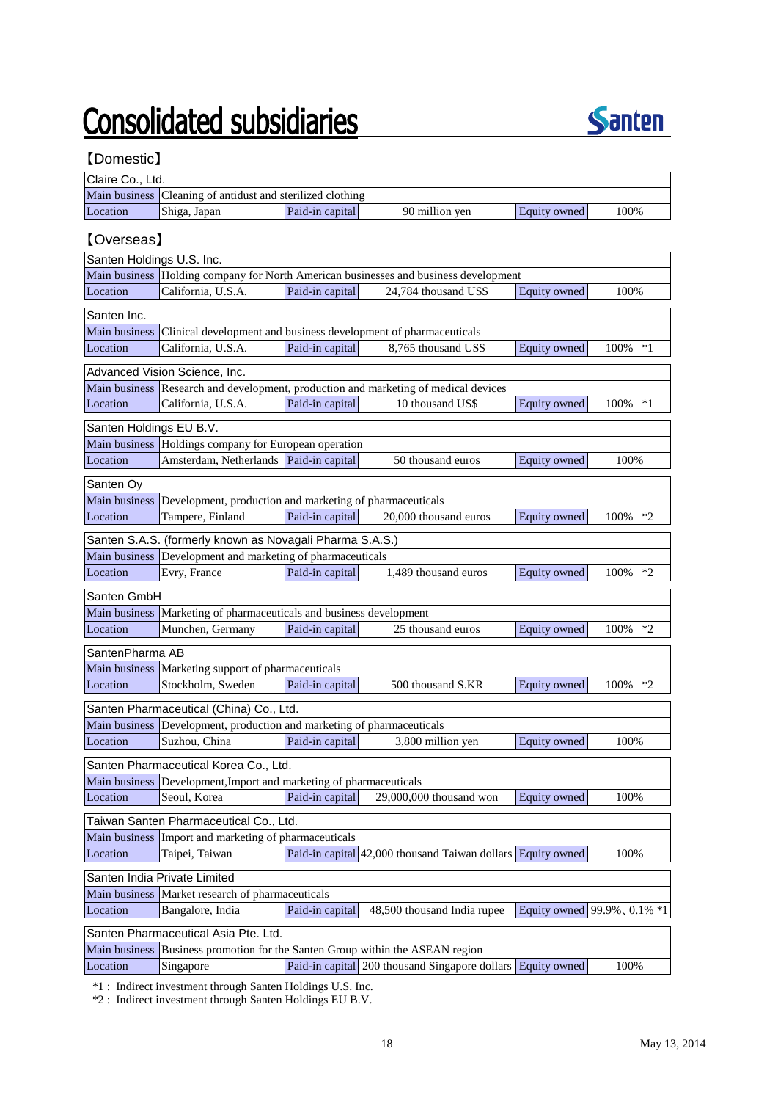# **Consolidated subsidiaries**



### 【Domestic】

| Claire Co., Ltd.                         |                                                                        |                 |                                                                                     |              |                                   |
|------------------------------------------|------------------------------------------------------------------------|-----------------|-------------------------------------------------------------------------------------|--------------|-----------------------------------|
| Main business                            | Cleaning of antidust and sterilized clothing                           |                 |                                                                                     |              |                                   |
| Location                                 | Shiga, Japan                                                           | Paid-in capital | 90 million yen                                                                      | Equity owned | 100%                              |
| <b>[Overseas]</b>                        |                                                                        |                 |                                                                                     |              |                                   |
|                                          |                                                                        |                 |                                                                                     |              |                                   |
| Santen Holdings U.S. Inc.                |                                                                        |                 |                                                                                     |              |                                   |
| Main business                            |                                                                        |                 | Holding company for North American businesses and business development              |              |                                   |
| Location                                 | California, U.S.A.                                                     | Paid-in capital | 24,784 thousand US\$                                                                | Equity owned | 100%                              |
| Santen Inc.                              |                                                                        |                 |                                                                                     |              |                                   |
| <b>Main business</b>                     |                                                                        |                 | Clinical development and business development of pharmaceuticals                    |              |                                   |
| Location                                 | California, U.S.A.                                                     | Paid-in capital | 8,765 thousand US\$                                                                 | Equity owned | $100\%$<br>$*1$                   |
|                                          | Advanced Vision Science, Inc.                                          |                 |                                                                                     |              |                                   |
|                                          |                                                                        |                 | Main business Research and development, production and marketing of medical devices |              |                                   |
| Location                                 | California, U.S.A.                                                     | Paid-in capital | 10 thousand US\$                                                                    | Equity owned | 100%<br>$*1$                      |
|                                          |                                                                        |                 |                                                                                     |              |                                   |
| Santen Holdings EU B.V.<br>Main business |                                                                        |                 |                                                                                     |              |                                   |
|                                          | Holdings company for European operation                                |                 |                                                                                     |              |                                   |
| Location                                 | Amsterdam, Netherlands   Paid-in capital                               |                 | 50 thousand euros                                                                   | Equity owned | 100%                              |
| Santen Oy                                |                                                                        |                 |                                                                                     |              |                                   |
| <b>Main business</b>                     | Development, production and marketing of pharmaceuticals               |                 |                                                                                     |              |                                   |
| Location                                 | Tampere, Finland                                                       | Paid-in capital | 20,000 thousand euros                                                               | Equity owned | 100%<br>*2                        |
|                                          | Santen S.A.S. (formerly known as Novagali Pharma S.A.S.)               |                 |                                                                                     |              |                                   |
| Main business                            | Development and marketing of pharmaceuticals                           |                 |                                                                                     |              |                                   |
| Location                                 | Evry, France                                                           | Paid-in capital | 1,489 thousand euros                                                                | Equity owned | 100%<br>$*2$                      |
|                                          |                                                                        |                 |                                                                                     |              |                                   |
| Santen GmbH                              |                                                                        |                 |                                                                                     |              |                                   |
| Main business                            | Marketing of pharmaceuticals and business development                  |                 |                                                                                     |              |                                   |
| Location                                 | Munchen, Germany                                                       | Paid-in capital | 25 thousand euros                                                                   | Equity owned | 100%<br>$*2$                      |
| SantenPharma AB                          |                                                                        |                 |                                                                                     |              |                                   |
| Main business                            | Marketing support of pharmaceuticals                                   |                 |                                                                                     |              |                                   |
| Location                                 | Stockholm, Sweden                                                      | Paid-in capital | 500 thousand S.KR                                                                   | Equity owned | 100%<br>$*2$                      |
|                                          | Santen Pharmaceutical (China) Co., Ltd.                                |                 |                                                                                     |              |                                   |
|                                          | Main business Development, production and marketing of pharmaceuticals |                 |                                                                                     |              |                                   |
| Location                                 | Suzhou, China                                                          | Paid-in capital | 3,800 million yen                                                                   | Equity owned | 100%                              |
|                                          |                                                                        |                 |                                                                                     |              |                                   |
|                                          | Santen Pharmaceutical Korea Co., Ltd.                                  |                 |                                                                                     |              |                                   |
| Main business                            | Development, Import and marketing of pharmaceuticals                   |                 |                                                                                     |              |                                   |
| Location                                 | Seoul, Korea                                                           | Paid-in capital | 29,000,000 thousand won                                                             | Equity owned | 100%                              |
|                                          | Taiwan Santen Pharmaceutical Co., Ltd.                                 |                 |                                                                                     |              |                                   |
| Main business                            | Import and marketing of pharmaceuticals                                |                 |                                                                                     |              |                                   |
| Location                                 | Taipei, Taiwan                                                         |                 | Paid-in capital 42,000 thousand Taiwan dollars Equity owned                         |              | 100%                              |
|                                          | Santen India Private Limited                                           |                 |                                                                                     |              |                                   |
| Main business                            | Market research of pharmaceuticals                                     |                 |                                                                                     |              |                                   |
| Location                                 | Bangalore, India                                                       | Paid-in capital | 48,500 thousand India rupee                                                         |              | Equity owned $99.9\%$ , 0.1% $*1$ |
|                                          | Santen Pharmaceutical Asia Pte. Ltd.                                   |                 |                                                                                     |              |                                   |
| Main business                            |                                                                        |                 | Business promotion for the Santen Group within the ASEAN region                     |              |                                   |
| Location                                 | Singapore                                                              |                 | Paid-in capital 200 thousand Singapore dollars Equity owned                         |              | 100%                              |
|                                          |                                                                        |                 |                                                                                     |              |                                   |

\*1 : Indirect investment through Santen Holdings U.S. Inc.

\*2 : Indirect investment through Santen Holdings EU B.V.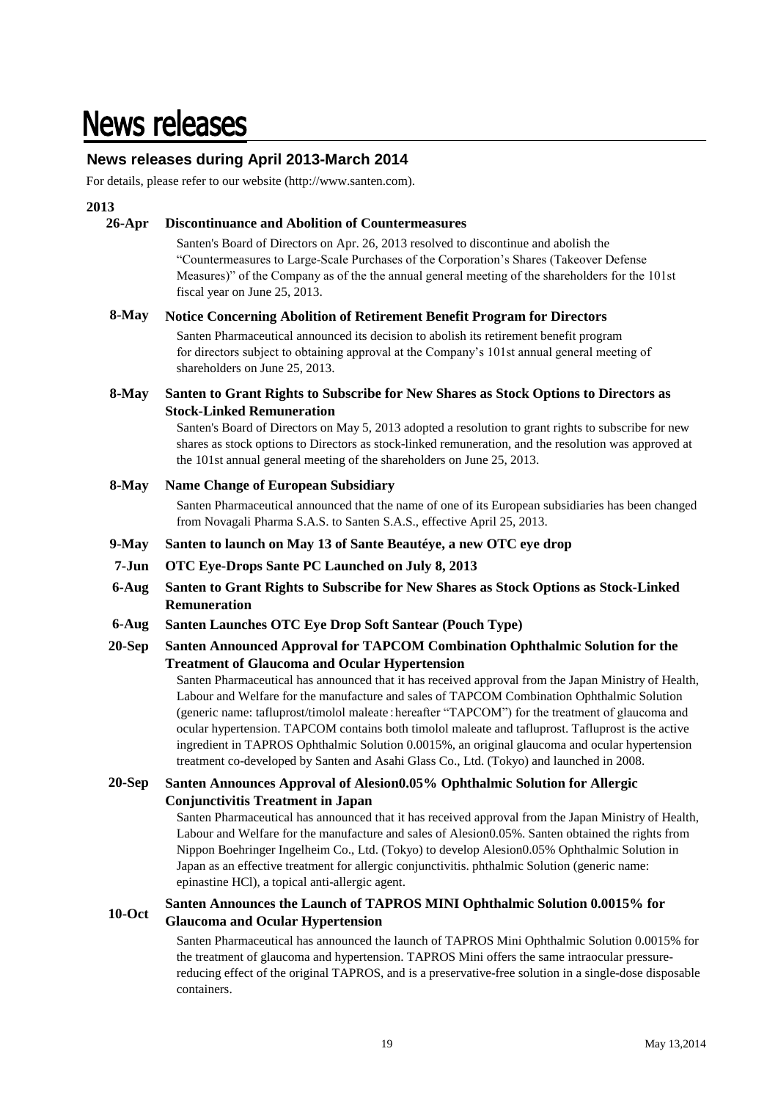## **News releases**

### **News releases during April 2013-March 2014**

For details, please refer to our website (http://www.santen.com).

### **2013**

#### **26-Apr Discontinuance and Abolition of Countermeasures**

Santen's Board of Directors on Apr. 26, 2013 resolved to discontinue and abolish the "Countermeasures to Large-Scale Purchases of the Corporation's Shares (Takeover Defense Measures)" of the Company as of the the annual general meeting of the shareholders for the 101st fiscal year on June 25, 2013.

#### **8-May Notice Concerning Abolition of Retirement Benefit Program for Directors**

Santen Pharmaceutical announced its decision to abolish its retirement benefit program for directors subject to obtaining approval at the Company's 101st annual general meeting of shareholders on June 25, 2013.

#### **8-May Santen to Grant Rights to Subscribe for New Shares as Stock Options to Directors as Stock-Linked Remuneration**

Santen's Board of Directors on May 5, 2013 adopted a resolution to grant rights to subscribe for new shares as stock options to Directors as stock-linked remuneration, and the resolution was approved at the 101st annual general meeting of the shareholders on June 25, 2013.

#### **8-May Name Change of European Subsidiary**

Santen Pharmaceutical announced that the name of one of its European subsidiaries has been changed from Novagali Pharma S.A.S. to Santen S.A.S., effective April 25, 2013.

- **9-May Santen to launch on May 13 of Sante Beautéye, a new OTC eye drop**
- **7-Jun OTC Eye-Drops Sante PC Launched on July 8, 2013**
- **6-Aug Santen to Grant Rights to Subscribe for New Shares as Stock Options as Stock-Linked Remuneration**
- **6-Aug Santen Launches OTC Eye Drop Soft Santear (Pouch Type)**

#### **20-Sep Santen Announced Approval for TAPCOM Combination Ophthalmic Solution for the Treatment of Glaucoma and Ocular Hypertension**

Santen Pharmaceutical has announced that it has received approval from the Japan Ministry of Health, Labour and Welfare for the manufacture and sales of TAPCOM Combination Ophthalmic Solution (generic name: tafluprost/timolol maleate: hereafter "TAPCOM") for the treatment of glaucoma and ocular hypertension. TAPCOM contains both timolol maleate and tafluprost. Tafluprost is the active ingredient in TAPROS Ophthalmic Solution 0.0015%, an original glaucoma and ocular hypertension treatment co-developed by Santen and Asahi Glass Co., Ltd. (Tokyo) and launched in 2008.

#### **20-Sep Santen Announces Approval of Alesion0.05% Ophthalmic Solution for Allergic Conjunctivitis Treatment in Japan**

Santen Pharmaceutical has announced that it has received approval from the Japan Ministry of Health, Labour and Welfare for the manufacture and sales of Alesion0.05%. Santen obtained the rights from Nippon Boehringer Ingelheim Co., Ltd. (Tokyo) to develop Alesion0.05% Ophthalmic Solution in Japan as an effective treatment for allergic conjunctivitis. phthalmic Solution (generic name: epinastine HCl), a topical anti-allergic agent.

### **10-Oct Santen Announces the Launch of TAPROS MINI Ophthalmic Solution 0.0015% for Glaucoma and Ocular Hypertension**

Santen Pharmaceutical has announced the launch of TAPROS Mini Ophthalmic Solution 0.0015% for the treatment of glaucoma and hypertension. TAPROS Mini offers the same intraocular pressurereducing effect of the original TAPROS, and is a preservative-free solution in a single-dose disposable containers.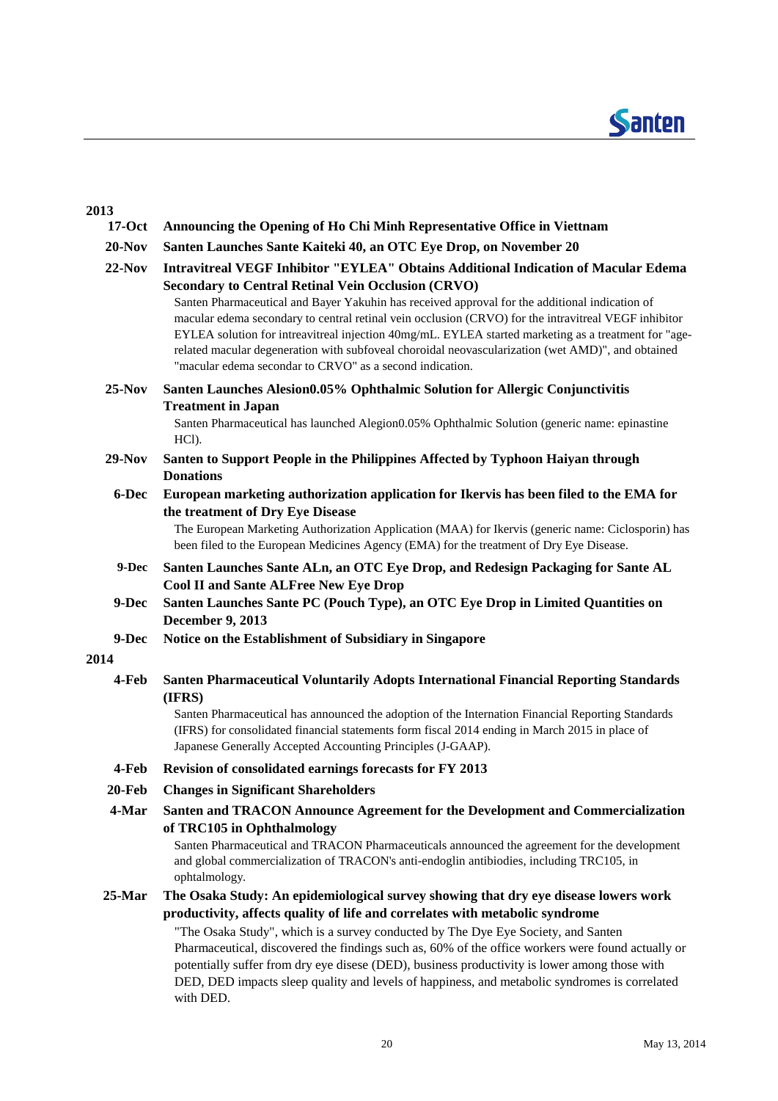

### **2013**

| $17-Oct$  | Announcing the Opening of Ho Chi Minh Representative Office in Viettnam                                                                                                                                                                                                                                                                                                                                                                                                  |
|-----------|--------------------------------------------------------------------------------------------------------------------------------------------------------------------------------------------------------------------------------------------------------------------------------------------------------------------------------------------------------------------------------------------------------------------------------------------------------------------------|
| $20-Nov$  | Santen Launches Sante Kaiteki 40, an OTC Eye Drop, on November 20                                                                                                                                                                                                                                                                                                                                                                                                        |
| $22-Nov$  | <b>Intravitreal VEGF Inhibitor "EYLEA" Obtains Additional Indication of Macular Edema</b><br><b>Secondary to Central Retinal Vein Occlusion (CRVO)</b><br>Santen Pharmaceutical and Bayer Yakuhin has received approval for the additional indication of<br>macular edema secondary to central retinal vein occlusion (CRVO) for the intravitreal VEGF inhibitor<br>EYLEA solution for intreavitreal injection 40mg/mL. EYLEA started marketing as a treatment for "age- |
|           | related macular degeneration with subfoveal choroidal neovascularization (wet AMD)", and obtained<br>"macular edema secondar to CRVO" as a second indication.                                                                                                                                                                                                                                                                                                            |
| $25-Nov$  | Santen Launches Alesion0.05% Ophthalmic Solution for Allergic Conjunctivitis                                                                                                                                                                                                                                                                                                                                                                                             |
|           | <b>Treatment in Japan</b><br>Santen Pharmaceutical has launched Alegion0.05% Ophthalmic Solution (generic name: epinastine<br>HCl).                                                                                                                                                                                                                                                                                                                                      |
| $29-Nov$  | Santen to Support People in the Philippines Affected by Typhoon Haiyan through<br><b>Donations</b>                                                                                                                                                                                                                                                                                                                                                                       |
| 6-Dec     | European marketing authorization application for Ikervis has been filed to the EMA for<br>the treatment of Dry Eye Disease<br>The European Marketing Authorization Application (MAA) for Ikervis (generic name: Ciclosporin) has                                                                                                                                                                                                                                         |
|           | been filed to the European Medicines Agency (EMA) for the treatment of Dry Eye Disease.                                                                                                                                                                                                                                                                                                                                                                                  |
| 9-Dec     | Santen Launches Sante ALn, an OTC Eye Drop, and Redesign Packaging for Sante AL<br><b>Cool II and Sante ALFree New Eye Drop</b>                                                                                                                                                                                                                                                                                                                                          |
| 9-Dec     | Santen Launches Sante PC (Pouch Type), an OTC Eye Drop in Limited Quantities on<br><b>December 9, 2013</b>                                                                                                                                                                                                                                                                                                                                                               |
| 9-Dec     | Notice on the Establishment of Subsidiary in Singapore                                                                                                                                                                                                                                                                                                                                                                                                                   |
| 2014      |                                                                                                                                                                                                                                                                                                                                                                                                                                                                          |
| 4-Feb     | Santen Pharmaceutical Voluntarily Adopts International Financial Reporting Standards<br>(IFRS)<br>Santen Pharmaceutical has announced the adoption of the Internation Financial Reporting Standards                                                                                                                                                                                                                                                                      |
|           | (IFRS) for consolidated financial statements form fiscal 2014 ending in March 2015 in place of<br>Japanese Generally Accepted Accounting Principles (J-GAAP).                                                                                                                                                                                                                                                                                                            |
| 4-Feb     | Revision of consolidated earnings forecasts for FY 2013                                                                                                                                                                                                                                                                                                                                                                                                                  |
| $20$ -Feb | <b>Changes in Significant Shareholders</b>                                                                                                                                                                                                                                                                                                                                                                                                                               |
| 4-Mar     | Santen and TRACON Announce Agreement for the Development and Commercialization<br>of TRC105 in Ophthalmology                                                                                                                                                                                                                                                                                                                                                             |
|           | Santen Pharmaceutical and TRACON Pharmaceuticals announced the agreement for the development<br>and global commercialization of TRACON's anti-endoglin antibiodies, including TRC105, in<br>ophtalmology.                                                                                                                                                                                                                                                                |
| $25$ -Mar | The Osaka Study: An epidemiological survey showing that dry eye disease lowers work<br>productivity, affects quality of life and correlates with metabolic syndrome                                                                                                                                                                                                                                                                                                      |
|           | "The Osaka Study", which is a survey conducted by The Dye Eye Society, and Santen<br>Pharmaceutical, discovered the findings such as, 60% of the office workers were found actually or<br>potentially suffer from dry eye disese (DED), business productivity is lower among those with<br>DED, DED impacts sleep quality and levels of happiness, and metabolic syndromes is correlated<br>with DED.                                                                    |